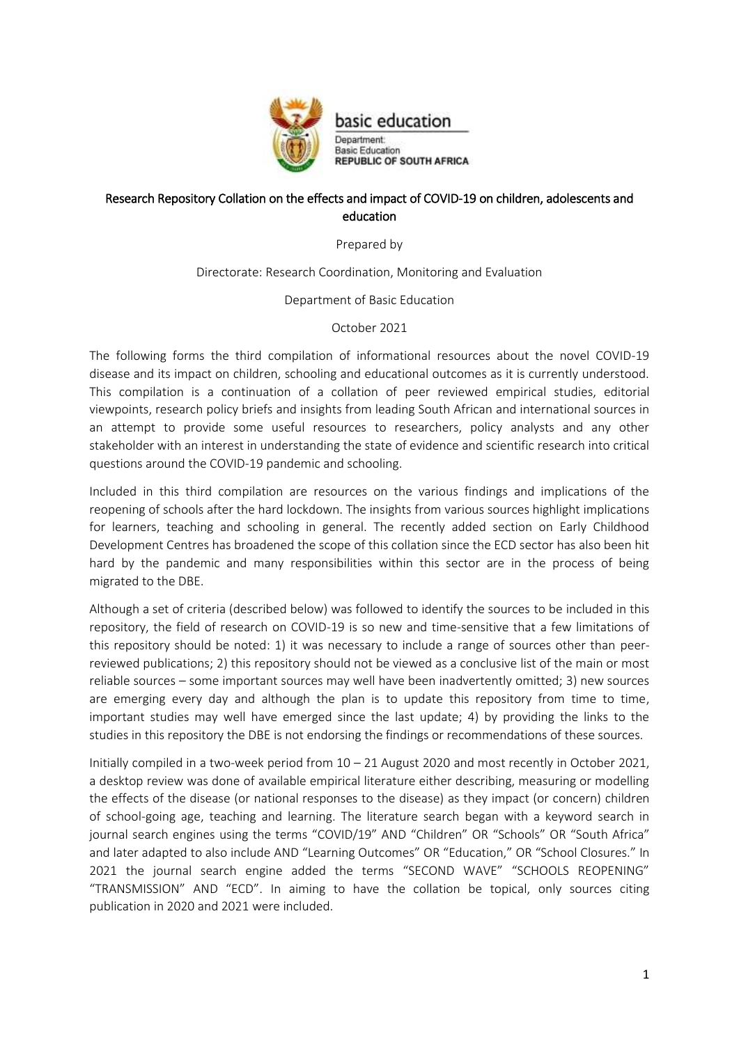

### Research Repository Collation on the effects and impact of COVID-19 on children, adolescents and education

Prepared by

Directorate: Research Coordination, Monitoring and Evaluation

Department of Basic Education

#### October 2021

The following forms the third compilation of informational resources about the novel COVID-19 disease and its impact on children, schooling and educational outcomes as it is currently understood. This compilation is a continuation of a collation of peer reviewed empirical studies, editorial viewpoints, research policy briefs and insights from leading South African and international sources in an attempt to provide some useful resources to researchers, policy analysts and any other stakeholder with an interest in understanding the state of evidence and scientific research into critical questions around the COVID-19 pandemic and schooling.

Included in this third compilation are resources on the various findings and implications of the reopening of schools after the hard lockdown. The insights from various sources highlight implications for learners, teaching and schooling in general. The recently added section on Early Childhood Development Centres has broadened the scope of this collation since the ECD sector has also been hit hard by the pandemic and many responsibilities within this sector are in the process of being migrated to the DBE.

Although a set of criteria (described below) was followed to identify the sources to be included in this repository, the field of research on COVID-19 is so new and time-sensitive that a few limitations of this repository should be noted: 1) it was necessary to include a range of sources other than peerreviewed publications; 2) this repository should not be viewed as a conclusive list of the main or most reliable sources – some important sources may well have been inadvertently omitted; 3) new sources are emerging every day and although the plan is to update this repository from time to time, important studies may well have emerged since the last update; 4) by providing the links to the studies in this repository the DBE is not endorsing the findings or recommendations of these sources.

Initially compiled in a two-week period from 10 – 21 August 2020 and most recently in October 2021, a desktop review was done of available empirical literature either describing, measuring or modelling the effects of the disease (or national responses to the disease) as they impact (or concern) children of school-going age, teaching and learning. The literature search began with a keyword search in journal search engines using the terms "COVID/19" AND "Children" OR "Schools" OR "South Africa" and later adapted to also include AND "Learning Outcomes" OR "Education," OR "School Closures." In 2021 the journal search engine added the terms "SECOND WAVE" "SCHOOLS REOPENING" "TRANSMISSION" AND "ECD". In aiming to have the collation be topical, only sources citing publication in 2020 and 2021 were included.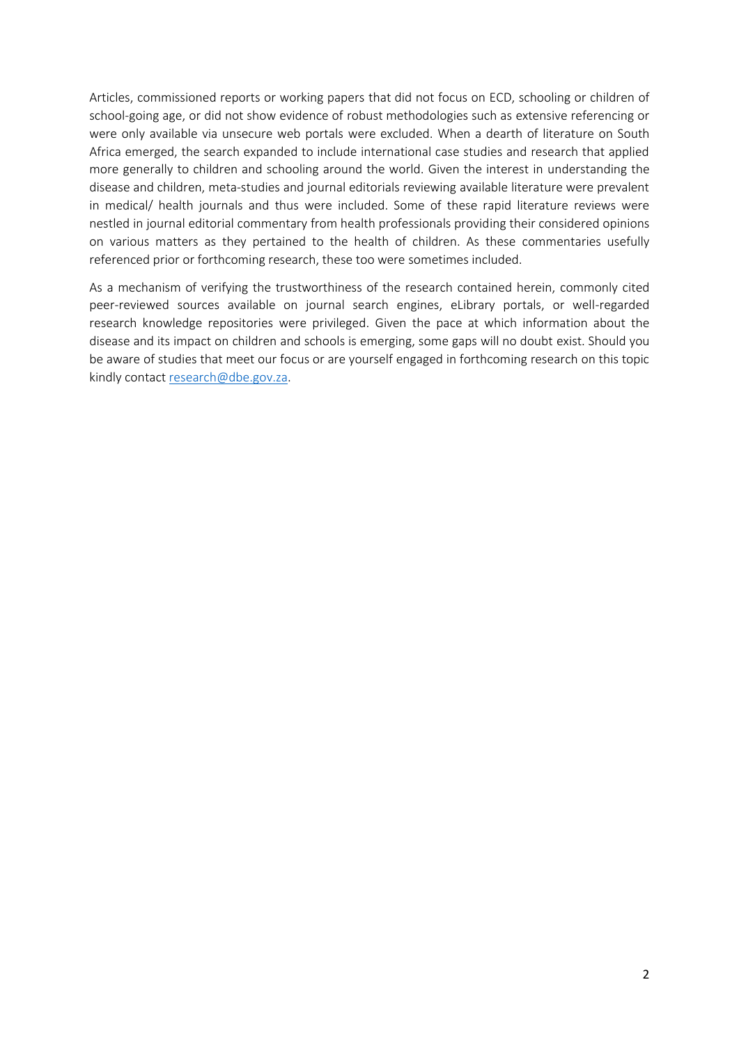Articles, commissioned reports or working papers that did not focus on ECD, schooling or children of school-going age, or did not show evidence of robust methodologies such as extensive referencing or were only available via unsecure web portals were excluded. When a dearth of literature on South Africa emerged, the search expanded to include international case studies and research that applied more generally to children and schooling around the world. Given the interest in understanding the disease and children, meta-studies and journal editorials reviewing available literature were prevalent in medical/ health journals and thus were included. Some of these rapid literature reviews were nestled in journal editorial commentary from health professionals providing their considered opinions on various matters as they pertained to the health of children. As these commentaries usefully referenced prior or forthcoming research, these too were sometimes included.

As a mechanism of verifying the trustworthiness of the research contained herein, commonly cited peer-reviewed sources available on journal search engines, eLibrary portals, or well-regarded research knowledge repositories were privileged. Given the pace at which information about the disease and its impact on children and schools is emerging, some gaps will no doubt exist. Should you be aware of studies that meet our focus or are yourself engaged in forthcoming research on this topic kindly contact [research@dbe.gov.za.](mailto:research@dbe.gov.za)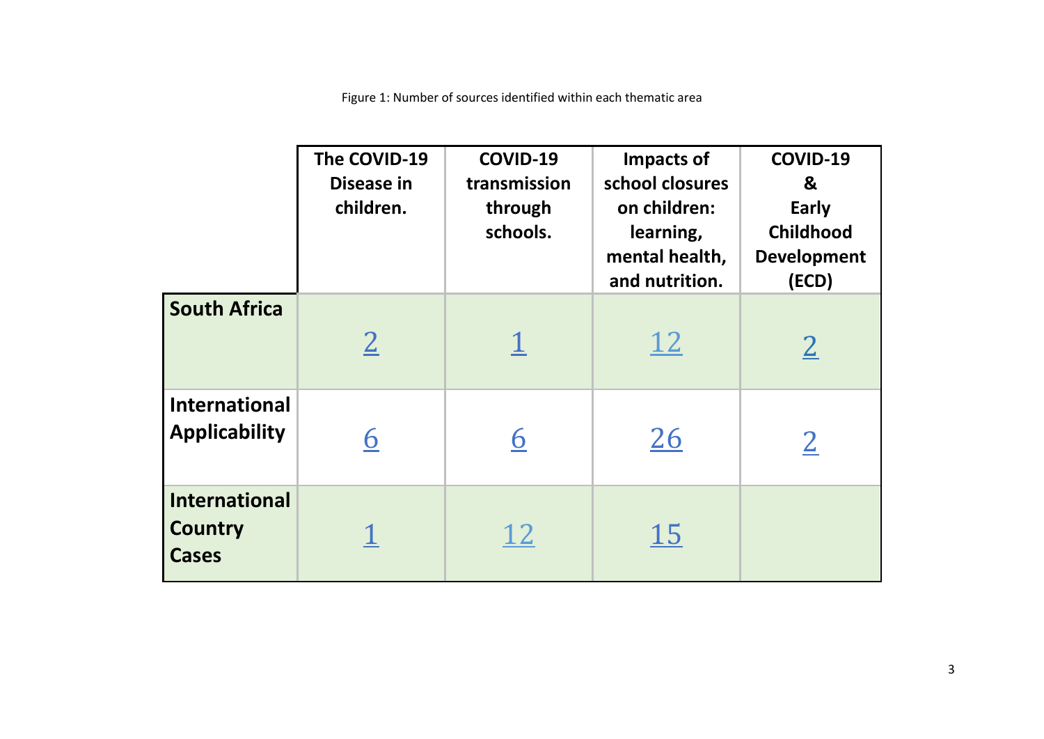Figure 1: Number of sources identified within each thematic area

|                                                        | The COVID-19<br>Disease in<br>children. | COVID-19<br>transmission<br>through<br>schools. | Impacts of<br>school closures<br>on children:<br>learning,<br>mental health,<br>and nutrition. | COVID-19<br>&<br>Early<br><b>Childhood</b><br><b>Development</b><br>(ECD) |
|--------------------------------------------------------|-----------------------------------------|-------------------------------------------------|------------------------------------------------------------------------------------------------|---------------------------------------------------------------------------|
| <b>South Africa</b>                                    | $\overline{2}$                          |                                                 | <u>12</u>                                                                                      | $\overline{2}$                                                            |
| <b>International</b><br><b>Applicability</b>           | <u>6</u>                                | <u> 6</u>                                       | 26                                                                                             | $\overline{2}$                                                            |
| <b>International</b><br><b>Country</b><br><b>Cases</b> |                                         | <u>12</u>                                       | <u> 15</u>                                                                                     |                                                                           |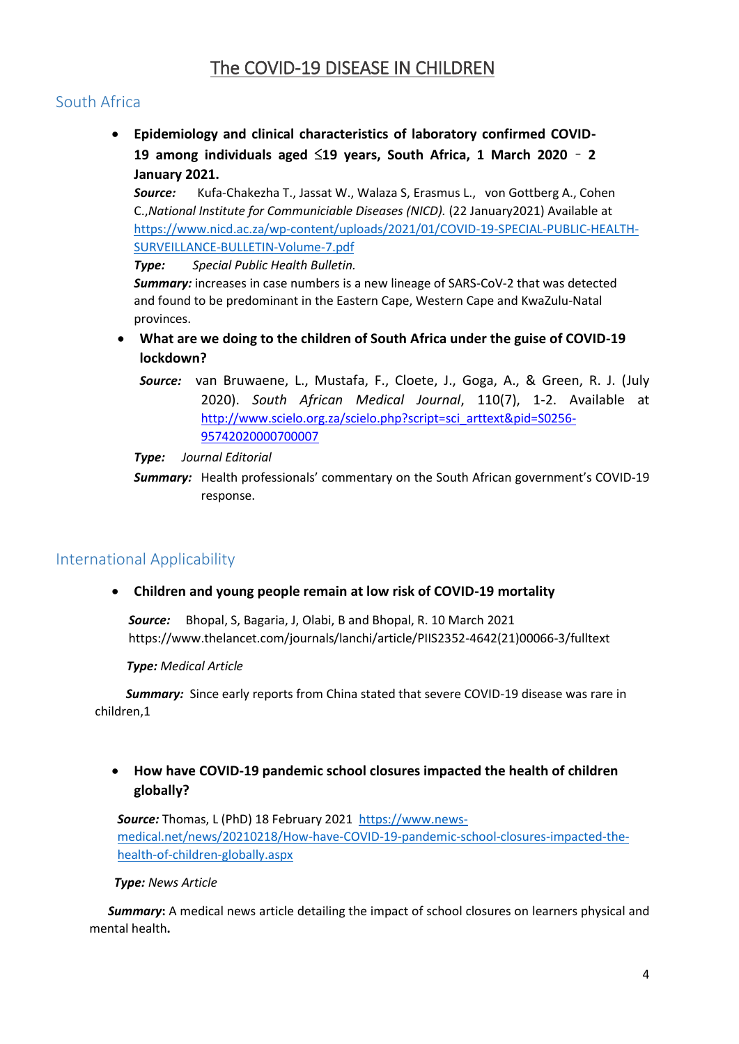# The COVID-19 DISEASE IN CHILDREN

## South Africa

 **Epidemiology and clinical characteristics of laboratory confirmed COVID-19 among individuals aged** ≤**19 years, South Africa, 1 March 2020** – **2 January 2021.**

*Source:* Kufa-Chakezha T., Jassat W., Walaza S, Erasmus L., von Gottberg A., Cohen C.,*National Institute for Communiciable Diseases (NICD).* (22 January2021) Available at [https://www.nicd.ac.za/wp-content/uploads/2021/01/COVID-19-SPECIAL-PUBLIC-HEALTH-](https://www.nicd.ac.za/wp-content/uploads/2021/01/COVID-19-SPECIAL-PUBLIC-HEALTH-SURVEILLANCE-BULLETIN-Volume-7.pdf)[SURVEILLANCE-BULLETIN-Volume-7.pdf](https://www.nicd.ac.za/wp-content/uploads/2021/01/COVID-19-SPECIAL-PUBLIC-HEALTH-SURVEILLANCE-BULLETIN-Volume-7.pdf)

*Type: Special Public Health Bulletin.* 

*Summary:* increases in case numbers is a new lineage of SARS-CoV-2 that was detected and found to be predominant in the Eastern Cape, Western Cape and KwaZulu-Natal provinces.

- **What are we doing to the children of South Africa under the guise of COVID-19 lockdown?**
	- *Source:* van Bruwaene, L., Mustafa, F., Cloete, J., Goga, A., & Green, R. J. (July 2020). *South African Medical Journal*, 110(7), 1-2. Available at [http://www.scielo.org.za/scielo.php?script=sci\\_arttext&pid=S0256-](http://www.scielo.org.za/scielo.php?script=sci_arttext&pid=S0256-95742020000700007) [95742020000700007](http://www.scielo.org.za/scielo.php?script=sci_arttext&pid=S0256-95742020000700007)

#### *Type: Journal Editorial*

**Summary:** Health professionals' commentary on the South African government's COVID-19 response.

## International Applicability

**Children and young people remain at low risk of COVID-19 mortality**

*Source:* Bhopal, S, Bagaria, J, Olabi, B and Bhopal, R. 10 March 2021 https://www.thelancet.com/journals/lanchi/article/PIIS2352-4642(21)00066-3/fulltext

*Type: Medical Article*

 *Summary:* Since early reports from China stated that severe COVID-19 disease was rare in children,1

### **How have COVID-19 pandemic school closures impacted the health of children globally?**

*Source:* Thomas, L (PhD) 18 February 2021 [https://www.news](https://www.news-medical.net/news/20210218/How-have-COVID-19-pandemic-school-closures-impacted-the-health-of-children-globally.aspx)[medical.net/news/20210218/How-have-COVID-19-pandemic-school-closures-impacted-the](https://www.news-medical.net/news/20210218/How-have-COVID-19-pandemic-school-closures-impacted-the-health-of-children-globally.aspx)[health-of-children-globally.aspx](https://www.news-medical.net/news/20210218/How-have-COVID-19-pandemic-school-closures-impacted-the-health-of-children-globally.aspx)

#### *Type: News Article*

**Summary:** A medical news article detailing the impact of school closures on learners physical and mental health**.**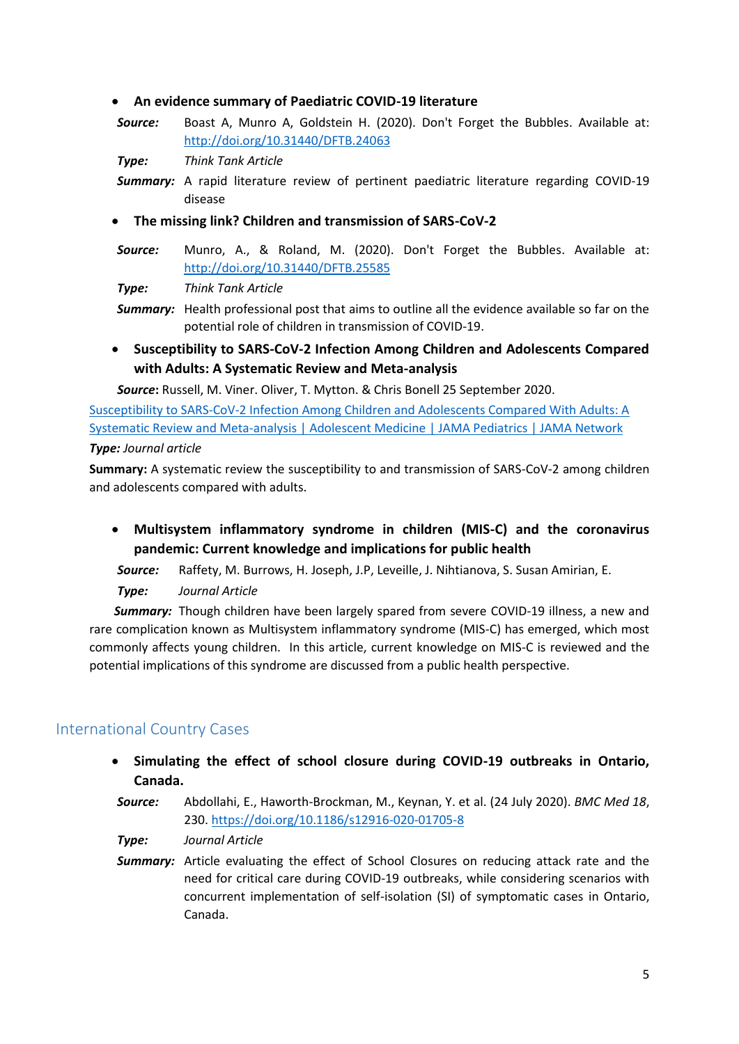#### **An evidence summary of Paediatric COVID-19 literature**

*Source:* Boast A, Munro A, Goldstein H. (2020). Don't Forget the Bubbles. Available at: <http://doi.org/10.31440/DFTB.24063>

*Type: Think Tank Article*

- **Summary:** A rapid literature review of pertinent paediatric literature regarding COVID-19 disease
- **The missing link? Children and transmission of SARS-CoV-2**
- *Source:* Munro, A., & Roland, M. (2020). Don't Forget the Bubbles. Available at: <http://doi.org/10.31440/DFTB.25585>

*Type: Think Tank Article*

- **Summary:** Health professional post that aims to outline all the evidence available so far on the potential role of children in transmission of COVID-19.
- **Susceptibility to SARS-CoV-2 Infection Among Children and Adolescents Compared with Adults: A Systematic Review and Meta-analysis**

 *Source***:** Russell, M. Viner. Oliver, T. Mytton. & Chris Bonell 25 September 2020.

[Susceptibility to SARS-CoV-2 Infection Among Children and Adolescents Compared With Adults: A](https://jamanetwork.com/journals/jamapediatrics/fullarticle/2771181)  [Systematic Review and Meta-analysis | Adolescent Medicine | JAMA Pediatrics | JAMA Network](https://jamanetwork.com/journals/jamapediatrics/fullarticle/2771181) *Type: Journal article*

**Summary:** A systematic review the susceptibility to and transmission of SARS-CoV-2 among children and adolescents compared with adults.

 **Multisystem inflammatory syndrome in children (MIS-C) and the coronavirus pandemic: Current knowledge and implications for public health**

 *Source:* Raffety, M. Burrows, H. Joseph, J.P, Leveille, J. Nihtianova, S. Susan Amirian, E.

 *Type: Journal Article*

 *Summary:* Though children have been largely spared from severe COVID-19 illness, a new and rare complication known as Multisystem inflammatory syndrome (MIS-C) has emerged, which most commonly affects young children. In this article, current knowledge on MIS-C is reviewed and the potential implications of this syndrome are discussed from a public health perspective.

### International Country Cases

- **Simulating the effect of school closure during COVID-19 outbreaks in Ontario, Canada.**
- *Source:* Abdollahi, E., Haworth-Brockman, M., Keynan, Y. et al. (24 July 2020). *BMC Med 18*, 230.<https://doi.org/10.1186/s12916-020-01705-8>
- *Type: Journal Article*
- **Summary:** Article evaluating the effect of School Closures on reducing attack rate and the need for critical care during COVID-19 outbreaks, while considering scenarios with concurrent implementation of self-isolation (SI) of symptomatic cases in Ontario, Canada.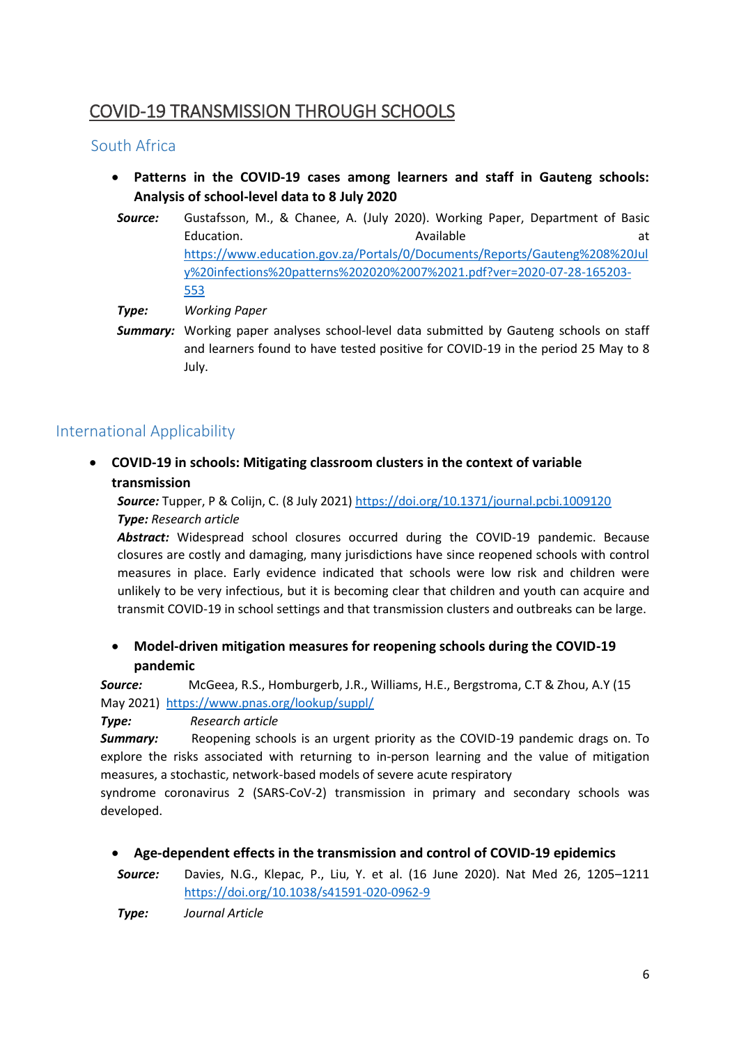# COVID-19 TRANSMISSION THROUGH SCHOOLS

## South Africa

- **Patterns in the COVID-19 cases among learners and staff in Gauteng schools: Analysis of school-level data to 8 July 2020**
- *Source:* Gustafsson, M., & Chanee, A. (July 2020). Working Paper, Department of Basic Education. **Available** at the state at the state at the state at the state at the state at the state at the state at the state at the state at the state at  $\alpha$ [https://www.education.gov.za/Portals/0/Documents/Reports/Gauteng%208%20Jul](https://www.education.gov.za/Portals/0/Documents/Reports/Gauteng%208%20July%20infections%20patterns%202020%2007%2021.pdf?ver=2020-07-28-165203-553) [y%20infections%20patterns%202020%2007%2021.pdf?ver=2020-07-28-165203-](https://www.education.gov.za/Portals/0/Documents/Reports/Gauteng%208%20July%20infections%20patterns%202020%2007%2021.pdf?ver=2020-07-28-165203-553) [553](https://www.education.gov.za/Portals/0/Documents/Reports/Gauteng%208%20July%20infections%20patterns%202020%2007%2021.pdf?ver=2020-07-28-165203-553)

*Type: Working Paper*

*Summary:* Working paper analyses school-level data submitted by Gauteng schools on staff and learners found to have tested positive for COVID-19 in the period 25 May to 8 July.

## International Applicability

 **COVID-19 in schools: Mitigating classroom clusters in the context of variable transmission**

*Source:* Tupper, P & Colijn, C. (8 July 2021) <https://doi.org/10.1371/journal.pcbi.1009120> *Type: Research article*

*Abstract:* Widespread school closures occurred during the COVID-19 pandemic. Because closures are costly and damaging, many jurisdictions have since reopened schools with control measures in place. Early evidence indicated that schools were low risk and children were unlikely to be very infectious, but it is becoming clear that children and youth can acquire and transmit COVID-19 in school settings and that transmission clusters and outbreaks can be large.

 **Model-driven mitigation measures for reopening schools during the COVID-19 pandemic**

*Source:* McGeea, R.S., Homburgerb, J.R., Williams, H.E., Bergstroma, C.T & Zhou, A.Y (15 May 2021) <https://www.pnas.org/lookup/suppl/>

#### *Type: Research article*

**Summary:** Reopening schools is an urgent priority as the COVID-19 pandemic drags on. To explore the risks associated with returning to in-person learning and the value of mitigation measures, a stochastic, network-based models of severe acute respiratory

syndrome coronavirus 2 (SARS-CoV-2) transmission in primary and secondary schools was developed.

- **Age-dependent effects in the transmission and control of COVID-19 epidemics**
- *Source:* Davies, N.G., Klepac, P., Liu, Y. et al. (16 June 2020). Nat Med 26, 1205–1211 <https://doi.org/10.1038/s41591-020-0962-9>

*Type: Journal Article*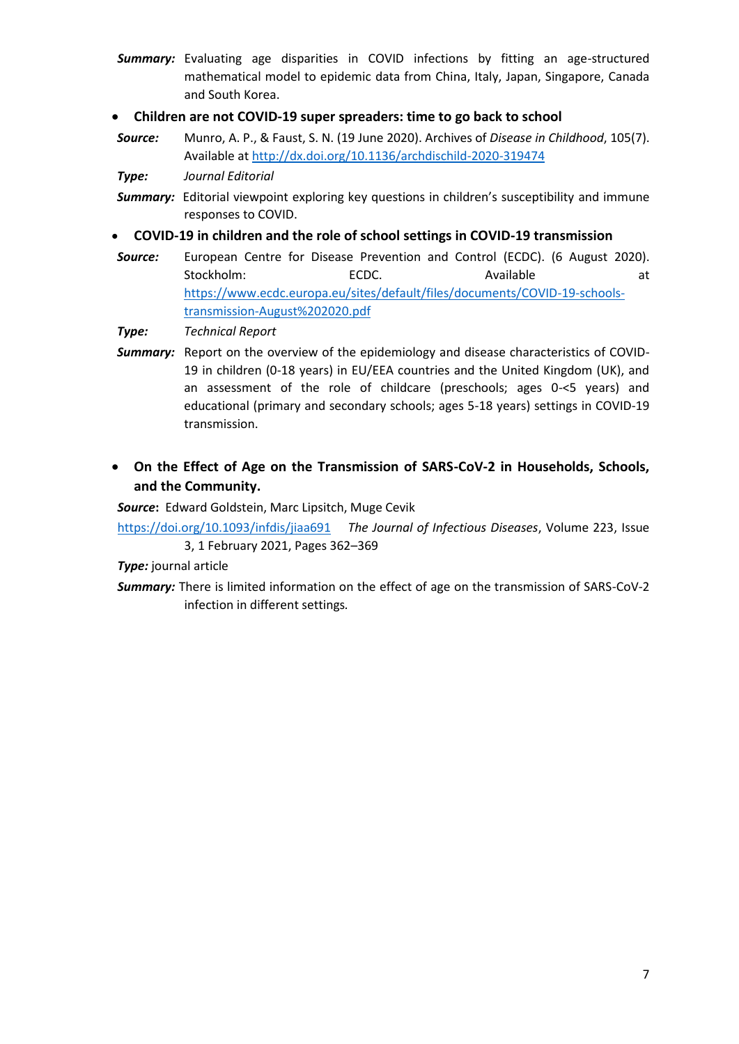- *Summary:* Evaluating age disparities in COVID infections by fitting an age-structured mathematical model to epidemic data from China, Italy, Japan, Singapore, Canada and South Korea.
- **Children are not COVID-19 super spreaders: time to go back to school**
- *Source:* Munro, A. P., & Faust, S. N. (19 June 2020). Archives of *Disease in Childhood*, 105(7). Available at<http://dx.doi.org/10.1136/archdischild-2020-319474>
- *Type: Journal Editorial*
- **Summary:** Editorial viewpoint exploring key questions in children's susceptibility and immune responses to COVID.
- **COVID-19 in children and the role of school settings in COVID-19 transmission**
- *Source:* European Centre for Disease Prevention and Control (ECDC). (6 August 2020). Stockholm: ECDC. Available at [https://www.ecdc.europa.eu/sites/default/files/documents/COVID-19-schools](https://www.ecdc.europa.eu/sites/default/files/documents/COVID-19-schools-transmission-August%202020.pdf)[transmission-August%202020.pdf](https://www.ecdc.europa.eu/sites/default/files/documents/COVID-19-schools-transmission-August%202020.pdf)

*Type: Technical Report*

- *Summary:* Report on the overview of the epidemiology and disease characteristics of COVID-19 in children (0-18 years) in EU/EEA countries and the United Kingdom (UK), and an assessment of the role of childcare (preschools; ages 0-<5 years) and educational (primary and secondary schools; ages 5-18 years) settings in COVID-19 transmission.
- **On the Effect of Age on the Transmission of SARS-CoV-2 in Households, Schools, and the Community.**

*Source***:** Edward Goldstein, Marc Lipsitch, Muge Cevik

<https://doi.org/10.1093/infdis/jiaa691>*The Journal of Infectious Diseases*, Volume 223, Issue 3, 1 February 2021, Pages 362–369

*Type:* journal article

*Summary:* There is limited information on the effect of age on the transmission of SARS-CoV-2 infection in different settings*.*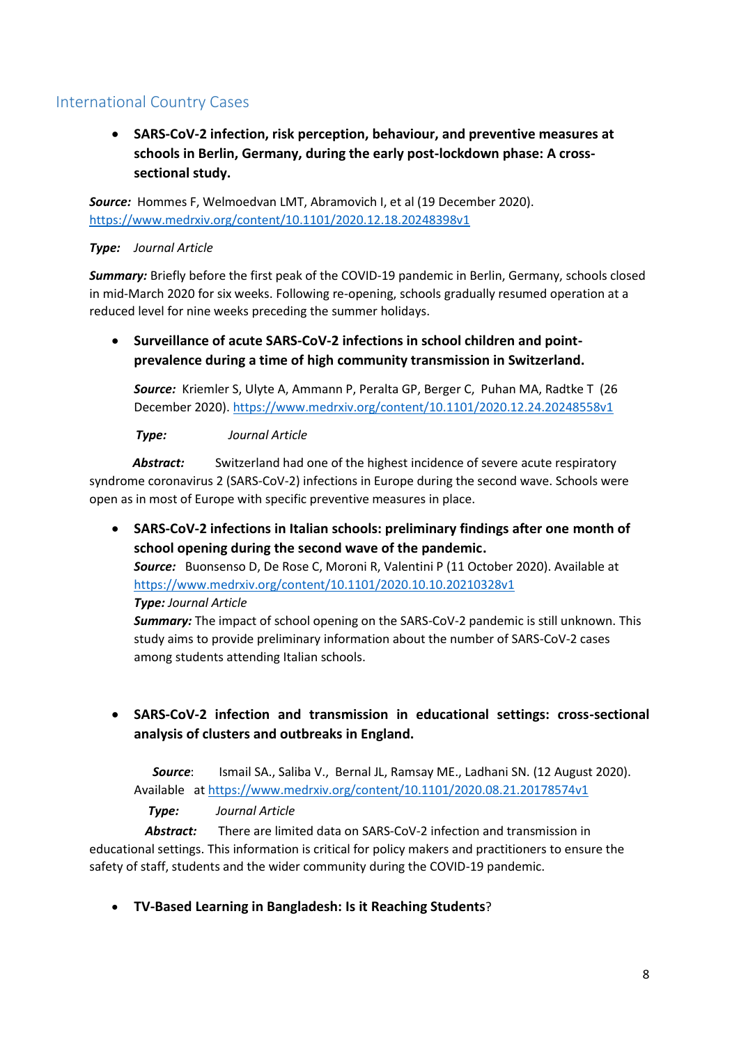## International Country Cases

 **SARS-CoV-2 infection, risk perception, behaviour, and preventive measures at schools in Berlin, Germany, during the early post-lockdown phase: A crosssectional study.**

*Source:* Hommes F, Welmoedvan LMT, Abramovich I, et al (19 December 2020). <https://www.medrxiv.org/content/10.1101/2020.12.18.20248398v1>

#### *Type: Journal Article*

*Summary:* Briefly before the first peak of the COVID-19 pandemic in Berlin, Germany, schools closed in mid-March 2020 for six weeks. Following re-opening, schools gradually resumed operation at a reduced level for nine weeks preceding the summer holidays.

 **Surveillance of acute SARS-CoV-2 infections in school children and pointprevalence during a time of high community transmission in Switzerland.**

*Source:* Kriemler S, Ulyte A, Ammann P, Peralta GP, Berger C, Puhan MA, Radtke T (26 December 2020)[. https://www.medrxiv.org/content/10.1101/2020.12.24.20248558v1](https://www.medrxiv.org/content/10.1101/2020.12.24.20248558v1)

 *Type: Journal Article*

Abstract: Switzerland had one of the highest incidence of severe acute respiratory syndrome coronavirus 2 (SARS-CoV-2) infections in Europe during the second wave. Schools were open as in most of Europe with specific preventive measures in place.

 **SARS-CoV-2 infections in Italian schools: preliminary findings after one month of school opening during the second wave of the pandemic.**

*Source:* Buonsenso D, De Rose C, Moroni R, Valentini P (11 October 2020). Available at <https://www.medrxiv.org/content/10.1101/2020.10.10.20210328v1> *Type: Journal Article*

*Summary:* The impact of school opening on the SARS-CoV-2 pandemic is still unknown. This study aims to provide preliminary information about the number of SARS-CoV-2 cases among students attending Italian schools.

## **SARS-CoV-2 infection and transmission in educational settings: cross-sectional analysis of clusters and outbreaks in England.**

*Source*: Ismail SA., Saliba V., Bernal JL, Ramsay ME., Ladhani SN. (12 August 2020). Available a[t https://www.medrxiv.org/content/10.1101/2020.08.21.20178574v1](https://www.medrxiv.org/content/10.1101/2020.08.21.20178574v1)

*Type: Journal Article*

 *Abstract:* There are limited data on SARS-CoV-2 infection and transmission in educational settings. This information is critical for policy makers and practitioners to ensure the safety of staff, students and the wider community during the COVID-19 pandemic.

**TV-Based Learning in Bangladesh: Is it Reaching Students**?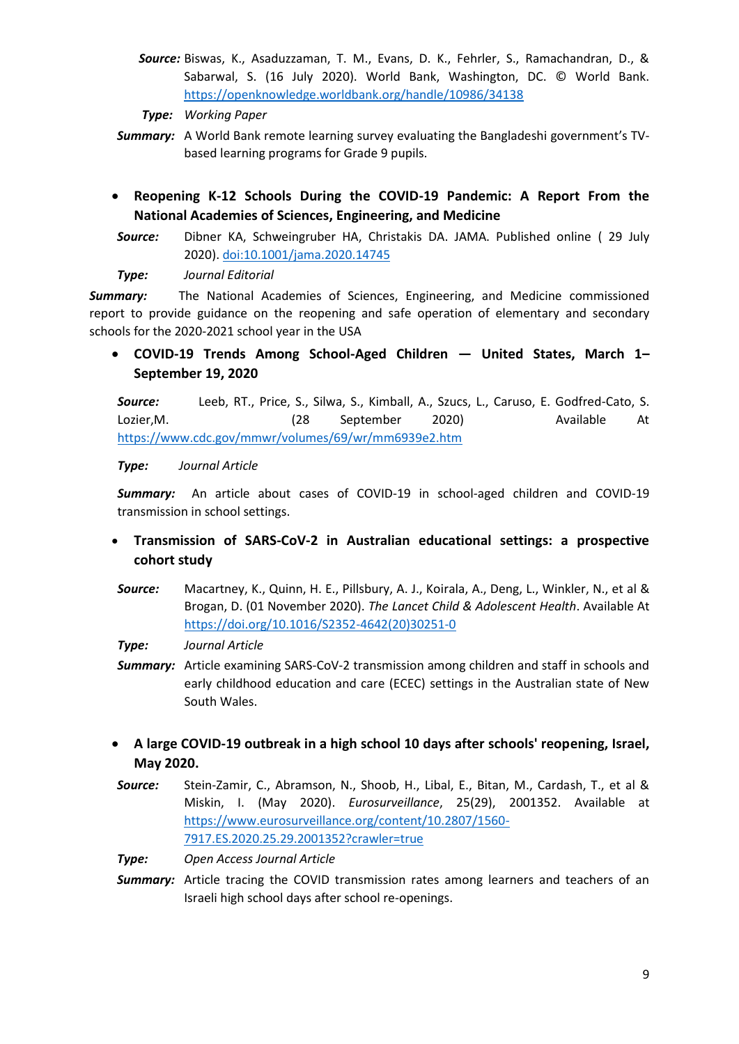- *Source:* Biswas, K., Asaduzzaman, T. M., Evans, D. K., Fehrler, S., Ramachandran, D., & Sabarwal, S. (16 July 2020). World Bank, Washington, DC. © World Bank. <https://openknowledge.worldbank.org/handle/10986/34138>
- *Type: Working Paper*
- *Summary:* A World Bank remote learning survey evaluating the Bangladeshi government's TVbased learning programs for Grade 9 pupils.
- **Reopening K-12 Schools During the COVID-19 Pandemic: A Report From the National Academies of Sciences, Engineering, and Medicine**
- *Source:* Dibner KA, Schweingruber HA, Christakis DA. JAMA. Published online ( 29 July 2020). [doi:10.1001/jama.2020.14745](https://jamanetwork.com/journals/jama/article-abstract/2769036)
- *Type: Journal Editorial*

*Summary:* The National Academies of Sciences, Engineering, and Medicine commissioned report to provide guidance on the reopening and safe operation of elementary and secondary schools for the 2020-2021 school year in the USA

 **COVID-19 Trends Among School-Aged Children — United States, March 1– September 19, 2020**

*Source:* Leeb, RT., Price, S., Silwa, S., Kimball, A., Szucs, L., Caruso, E. Godfred-Cato, S. Lozier,M. (28 September 2020) Available At <https://www.cdc.gov/mmwr/volumes/69/wr/mm6939e2.htm>

#### *Type: Journal Article*

*Summary:* An article about cases of COVID-19 in school-aged children and COVID-19 transmission in school settings.

## **Transmission of SARS-CoV-2 in Australian educational settings: a prospective cohort study**

*Source:* Macartney, K., Quinn, H. E., Pillsbury, A. J., Koirala, A., Deng, L., Winkler, N., et al & Brogan, D. (01 November 2020). *The Lancet Child & Adolescent Health*. Available At [https://doi.org/10.1016/S2352-4642\(20\)30251-0](https://doi.org/10.1016/S2352-4642(20)30251-0)

*Type: Journal Article*

- **Summary:** Article examining SARS-CoV-2 transmission among children and staff in schools and early childhood education and care (ECEC) settings in the Australian state of New South Wales.
- **A large COVID-19 outbreak in a high school 10 days after schools' reopening, Israel, May 2020.**
- *Source:* Stein-Zamir, C., Abramson, N., Shoob, H., Libal, E., Bitan, M., Cardash, T., et al & Miskin, I. (May 2020). *Eurosurveillance*, 25(29), 2001352. Available at [https://www.eurosurveillance.org/content/10.2807/1560-](https://www.eurosurveillance.org/content/10.2807/1560-7917.ES.2020.25.29.2001352?crawler=true) [7917.ES.2020.25.29.2001352?crawler=true](https://www.eurosurveillance.org/content/10.2807/1560-7917.ES.2020.25.29.2001352?crawler=true)

*Type: Open Access Journal Article*

**Summary:** Article tracing the COVID transmission rates among learners and teachers of an Israeli high school days after school re-openings.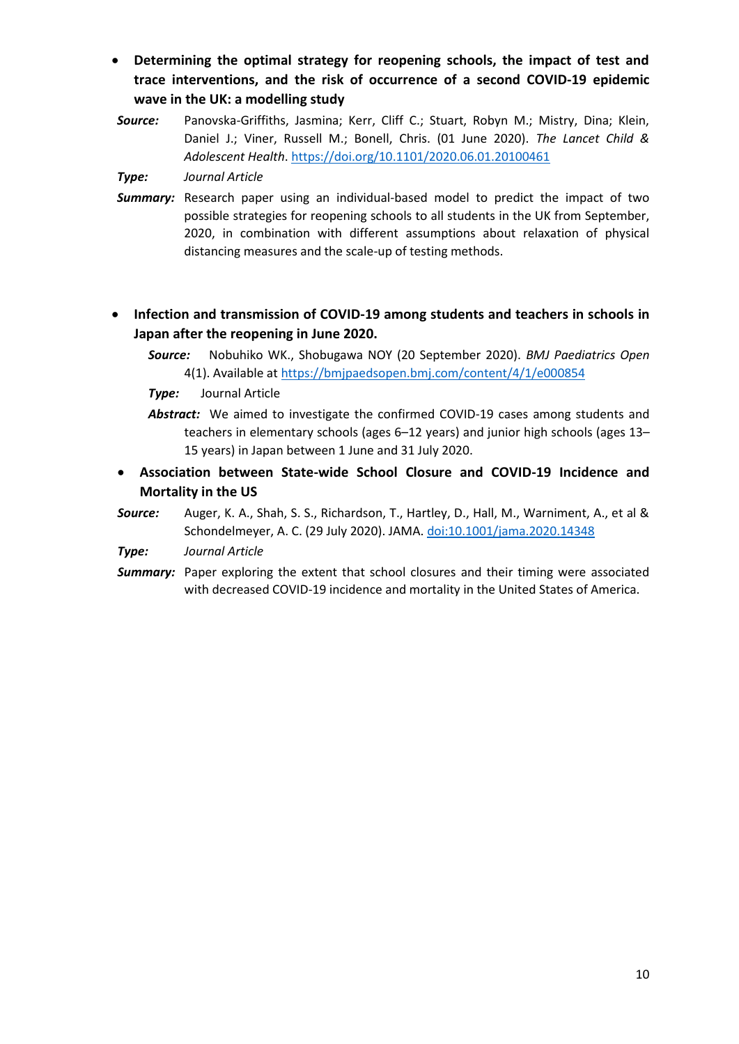- **Determining the optimal strategy for reopening schools, the impact of test and trace interventions, and the risk of occurrence of a second COVID-19 epidemic wave in the UK: a modelling study**
- *Source:* Panovska-Griffiths, Jasmina; Kerr, Cliff C.; Stuart, Robyn M.; Mistry, Dina; Klein, Daniel J.; Viner, Russell M.; Bonell, Chris. (01 June 2020). *The Lancet Child & Adolescent Health*[. https://doi.org/10.1101/2020.06.01.20100461](https://doi.org/10.1101/2020.06.01.20100461)

*Type: Journal Article*

- *Summary:* Research paper using an individual-based model to predict the impact of two possible strategies for reopening schools to all students in the UK from September, 2020, in combination with different assumptions about relaxation of physical distancing measures and the scale-up of testing methods.
- **Infection and transmission of COVID-19 among students and teachers in schools in Japan after the reopening in June 2020.**
	- *Source:*Nobuhiko WK., Shobugawa NOY (20 September 2020). *BMJ Paediatrics Open*  4(1). Available at<https://bmjpaedsopen.bmj.com/content/4/1/e000854>
	- *Type:* Journal Article
	- *Abstract:* We aimed to investigate the confirmed COVID-19 cases among students and teachers in elementary schools (ages 6–12 years) and junior high schools (ages 13– 15 years) in Japan between 1 June and 31 July 2020.
- **Association between State-wide School Closure and COVID-19 Incidence and Mortality in the US**
- *Source:* Auger, K. A., Shah, S. S., Richardson, T., Hartley, D., Hall, M., Warniment, A., et al & Schondelmeyer, A. C. (29 July 2020). JAMA. [doi:10.1001/jama.2020.14348](https://jamanetwork.com/journals/jama/fullarticle/2769034)
- *Type: Journal Article*
- **Summary:** Paper exploring the extent that school closures and their timing were associated with decreased COVID-19 incidence and mortality in the United States of America.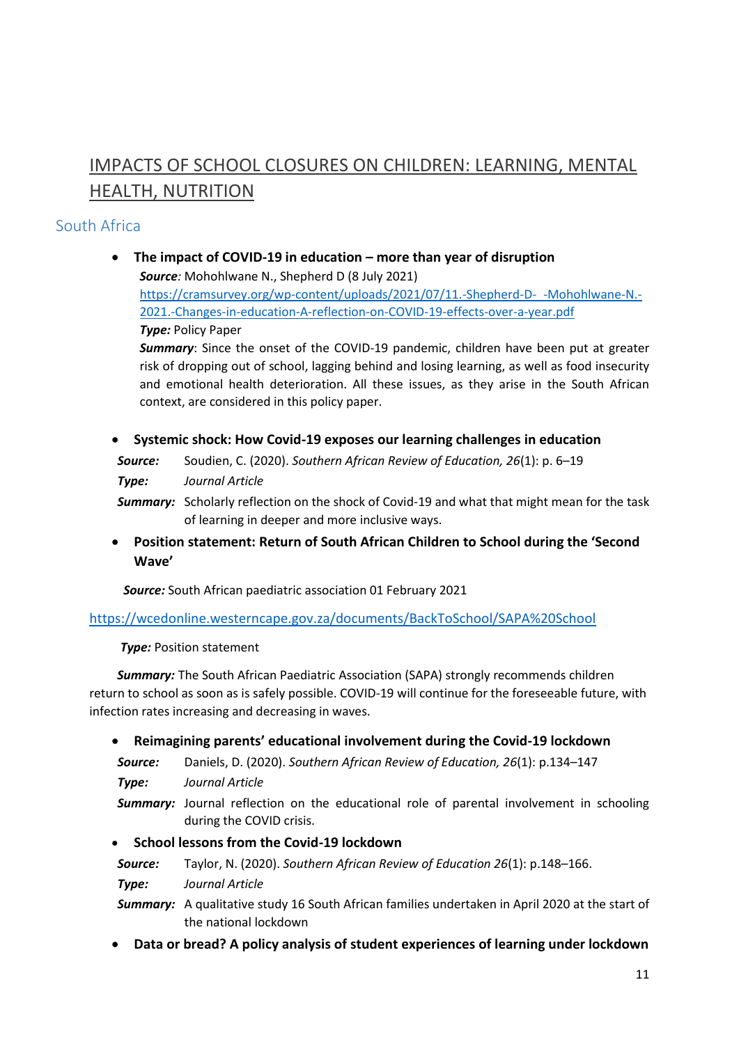# IMPACTS OF SCHOOL CLOSURES ON CHILDREN: LEARNING, MENTAL HEALTH, NUTRITION

## South Africa

- **•** The impact of COVID-19 in education more than year of disruption *Source:* Mohohlwane N., Shepherd D (8 July 2021) [https://cramsurvey.org/wp-content/uploads/2021/07/11.-Shepherd-D-\\_-Mohohlwane-N.-](https://cramsurvey.org/wp-content/uploads/2021/07/11.-Shepherd-D-_-Mohohlwane-N.-2021.-Changes-in-education-A-reflection-on-COVID-19-effects-over-a-year.pdf) [2021.-Changes-in-education-A-reflection-on-COVID-19-effects-over-a-year.pdf](https://cramsurvey.org/wp-content/uploads/2021/07/11.-Shepherd-D-_-Mohohlwane-N.-2021.-Changes-in-education-A-reflection-on-COVID-19-effects-over-a-year.pdf) *Type:* Policy Paper *Summary*: Since the onset of the COVID-19 pandemic, children have been put at greater risk of dropping out of school, lagging behind and losing learning, as well as food insecurity and emotional health deterioration. All these issues, as they arise in the South African context, are considered in this policy paper.
- **Systemic shock: How Covid-19 exposes our learning challenges in education**

*Source:* Soudien, C. (2020). *Southern African Review of Education, 26*(1): p. 6–19

*Type: Journal Article*

*Summary:* Scholarly reflection on the shock of Covid-19 and what that might mean for the task of learning in deeper and more inclusive ways.

 **Position statement: Return of South African Children to School during the 'Second Wave'**

 *Source:* South African paediatric association 01 February 2021

<https://wcedonline.westerncape.gov.za/documents/BackToSchool/SAPA%20School>

 *Type:* Position statement

 *Summary:* The South African Paediatric Association (SAPA) strongly recommends children return to school as soon as is safely possible. COVID-19 will continue for the foreseeable future, with infection rates increasing and decreasing in waves.

- **Reimagining parents' educational involvement during the Covid-19 lockdown**
- *Source:* Daniels, D. (2020). *Southern African Review of Education, 26*(1): p.134–147

*Type: Journal Article*

- **Summary:** Journal reflection on the educational role of parental involvement in schooling during the COVID crisis.
- **School lessons from the Covid-19 lockdown**
- *Source:* Taylor, N. (2020). *Southern African Review of Education 26*(1): p.148–166.
- *Type: Journal Article*

*Summary:* A qualitative study 16 South African families undertaken in April 2020 at the start of the national lockdown

**Data or bread? A policy analysis of student experiences of learning under lockdown**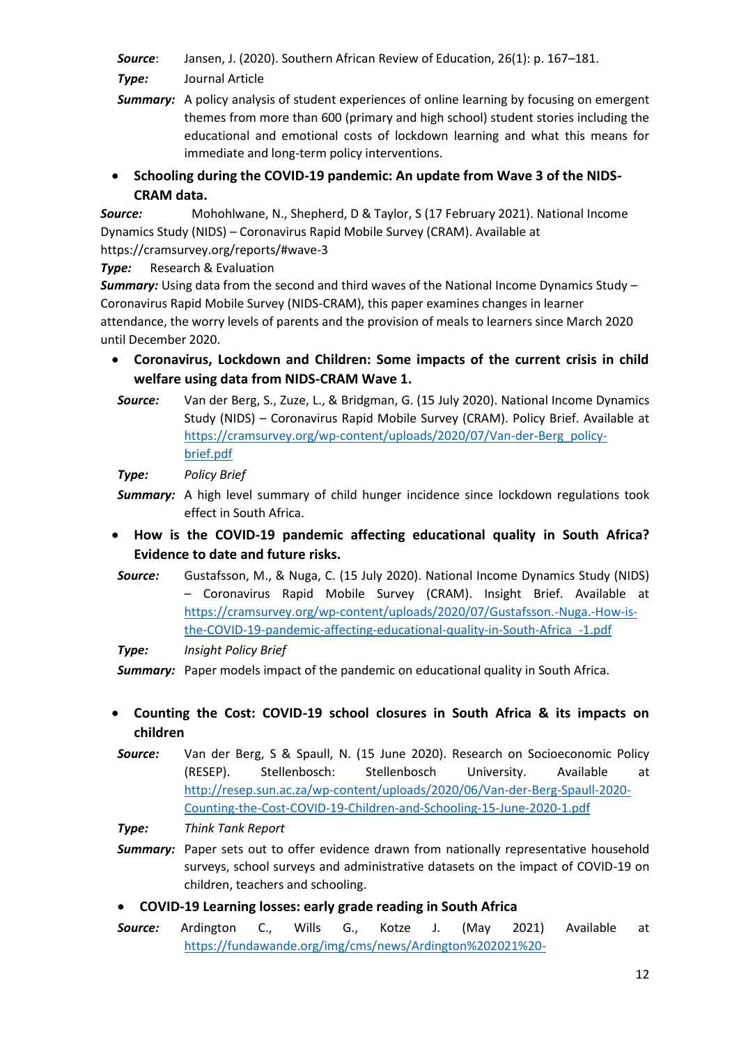*Source*: Jansen, J. (2020). Southern African Review of Education, 26(1): p. 167–181.

*Type:* Journal Article

- **Summary:** A policy analysis of student experiences of online learning by focusing on emergent themes from more than 600 (primary and high school) student stories including the educational and emotional costs of lockdown learning and what this means for immediate and long-term policy interventions.
- **•** Schooling during the COVID-19 pandemic: An update from Wave 3 of the NIDS-**CRAM data.**

*Source:* Mohohlwane, N., Shepherd, D & Taylor, S (17 February 2021). National Income Dynamics Study (NIDS) – Coronavirus Rapid Mobile Survey (CRAM). Available at https://cramsurvey.org/reports/#wave-3

**Type:** Research & Evaluation

*Summary:* Using data from the second and third waves of the National Income Dynamics Study – Coronavirus Rapid Mobile Survey (NIDS-CRAM), this paper examines changes in learner attendance, the worry levels of parents and the provision of meals to learners since March 2020 until December 2020.

- **Coronavirus, Lockdown and Children: Some impacts of the current crisis in child welfare using data from NIDS-CRAM Wave 1.**
- *Source:* Van der Berg, S., Zuze, L., & Bridgman, G. (15 July 2020). National Income Dynamics Study (NIDS) – Coronavirus Rapid Mobile Survey (CRAM). Policy Brief. Available at [https://cramsurvey.org/wp-content/uploads/2020/07/Van-der-Berg\\_policy](https://cramsurvey.org/wp-content/uploads/2020/07/Van-der-Berg_policy-brief.pdf)[brief.pdf](https://cramsurvey.org/wp-content/uploads/2020/07/Van-der-Berg_policy-brief.pdf)

*Type: Policy Brief*

- **Summary:** A high level summary of child hunger incidence since lockdown regulations took effect in South Africa.
- **How is the COVID-19 pandemic affecting educational quality in South Africa? Evidence to date and future risks.**
- *Source:* Gustafsson, M., & Nuga, C. (15 July 2020). National Income Dynamics Study (NIDS) – Coronavirus Rapid Mobile Survey (CRAM). Insight Brief. Available at [https://cramsurvey.org/wp-content/uploads/2020/07/Gustafsson.-Nuga.-How-is](https://cramsurvey.org/wp-content/uploads/2020/07/Gustafsson.-Nuga.-How-is-the-COVID-19-pandemic-affecting-educational-quality-in-South-Africa_-1.pdf)[the-COVID-19-pandemic-affecting-educational-quality-in-South-Africa\\_-1.pdf](https://cramsurvey.org/wp-content/uploads/2020/07/Gustafsson.-Nuga.-How-is-the-COVID-19-pandemic-affecting-educational-quality-in-South-Africa_-1.pdf)

*Type: Insight Policy Brief*

**Summary:** Paper models impact of the pandemic on educational quality in South Africa.

- **Counting the Cost: COVID-19 school closures in South Africa & its impacts on children**
- *Source:* Van der Berg, S & Spaull, N. (15 June 2020). Research on Socioeconomic Policy (RESEP). Stellenbosch: Stellenbosch University. Available at [http://resep.sun.ac.za/wp-content/uploads/2020/06/Van-der-Berg-Spaull-2020-](http://resep.sun.ac.za/wp-content/uploads/2020/06/Van-der-Berg-Spaull-2020-Counting-the-Cost-COVID-19-Children-and-Schooling-15-June-2020-1.pdf) [Counting-the-Cost-COVID-19-Children-and-Schooling-15-June-2020-1.pdf](http://resep.sun.ac.za/wp-content/uploads/2020/06/Van-der-Berg-Spaull-2020-Counting-the-Cost-COVID-19-Children-and-Schooling-15-June-2020-1.pdf)

*Type: Think Tank Report*

- **Summary:** Paper sets out to offer evidence drawn from nationally representative household surveys, school surveys and administrative datasets on the impact of COVID-19 on children, teachers and schooling.
- **COVID-19 Learning losses: early grade reading in South Africa**
- *Source:* Ardington C., Wills G., Kotze J. (May 2021) Available at [https://fundawande.org/img/cms/news/Ardington%202021%20-](https://fundawande.org/img/cms/news/Ardington%202021%20-%20Funda%20Wande%20EC%20learning%20losses%20report%20(24%20May%202021)_1.pdf)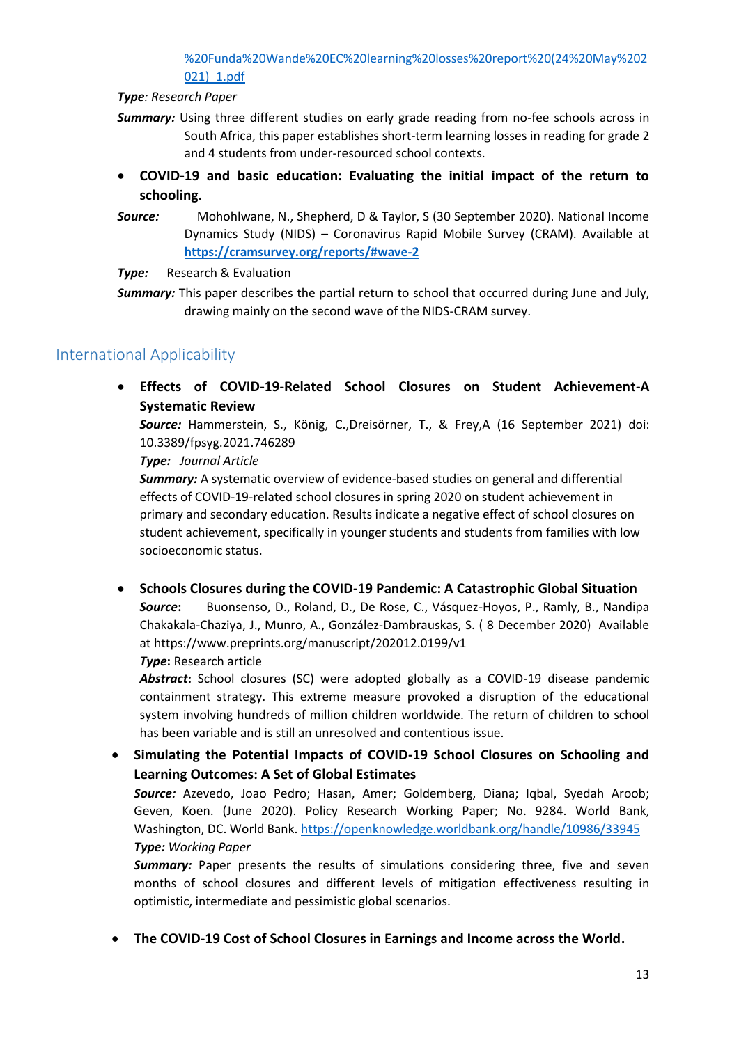[%20Funda%20Wande%20EC%20learning%20losses%20report%20\(24%20May%202](https://fundawande.org/img/cms/news/Ardington%202021%20-%20Funda%20Wande%20EC%20learning%20losses%20report%20(24%20May%202021)_1.pdf) [021\)\\_1.pdf](https://fundawande.org/img/cms/news/Ardington%202021%20-%20Funda%20Wande%20EC%20learning%20losses%20report%20(24%20May%202021)_1.pdf)

*Type: Research Paper*

- *Summary:* Using three different studies on early grade reading from no-fee schools across in South Africa, this paper establishes short-term learning losses in reading for grade 2 and 4 students from under-resourced school contexts.
- **COVID-19 and basic education: Evaluating the initial impact of the return to schooling.**
- *Source:* Mohohlwane, N., Shepherd, D & Taylor, S (30 September 2020). National Income Dynamics Study (NIDS) – Coronavirus Rapid Mobile Survey (CRAM). Available at **<https://cramsurvey.org/reports/#wave-2>**

**Type:** Research & Evaluation

## International Applicability

 **Effects of COVID-19-Related School Closures on Student Achievement-A Systematic Review**

*Source:* Hammerstein, S., König, C.,Dreisörner, T., & Frey,A (16 September 2021) doi: 10.3389/fpsyg.2021.746289

*Type: Journal Article*

*Summary:* A systematic overview of evidence-based studies on general and differential effects of COVID-19-related school closures in spring 2020 on student achievement in primary and secondary education. Results indicate a negative effect of school closures on student achievement, specifically in younger students and students from families with low socioeconomic status.

 **Schools Closures during the COVID-19 Pandemic: A Catastrophic Global Situation** *Source***:** Buonsenso, D., Roland, D., De Rose, C., Vásquez-Hoyos, P., Ramly, B., Nandipa Chakakala-Chaziya, J., Munro, A., González-Dambrauskas, S. ( 8 December 2020) Available at https://www.preprints.org/manuscript/202012.0199/v1

*Type***:** Research article

*Abstract***:** School closures (SC) were adopted globally as a COVID-19 disease pandemic containment strategy. This extreme measure provoked a disruption of the educational system involving hundreds of million children worldwide. The return of children to school has been variable and is still an unresolved and contentious issue.

 **Simulating the Potential Impacts of COVID-19 School Closures on Schooling and Learning Outcomes: A Set of Global Estimates**

*Source:* Azevedo, Joao Pedro; Hasan, Amer; Goldemberg, Diana; Iqbal, Syedah Aroob; Geven, Koen. (June 2020). Policy Research Working Paper; No. 9284. World Bank, Washington, DC. World Bank[. https://openknowledge.worldbank.org/handle/10986/33945](https://openknowledge.worldbank.org/handle/10986/33945) *Type: Working Paper*

**Summary:** Paper presents the results of simulations considering three, five and seven months of school closures and different levels of mitigation effectiveness resulting in optimistic, intermediate and pessimistic global scenarios.

**The COVID-19 Cost of School Closures in Earnings and Income across the World.**

*Summary:* This paper describes the partial return to school that occurred during June and July, drawing mainly on the second wave of the NIDS-CRAM survey.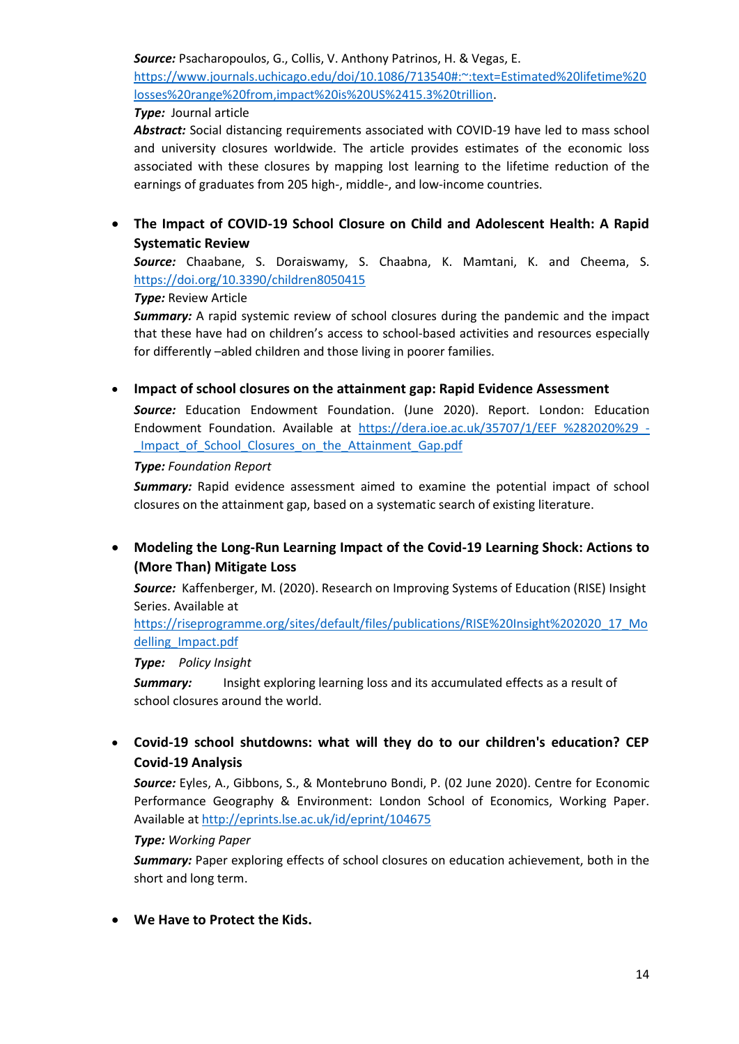*Source:* Psacharopoulos, G., Collis, V. Anthony Patrinos, H. & Vegas, E.

[https://www.journals.uchicago.edu/doi/10.1086/713540#:~:text=Estimated%20lifetime%20](https://www.journals.uchicago.edu/doi/10.1086/713540#:~:text=Estimated%20lifetime%20losses%20range%20from,impact%20is%20US%2415.3%20trillion) [losses%20range%20from,impact%20is%20US%2415.3%20trillion.](https://www.journals.uchicago.edu/doi/10.1086/713540#:~:text=Estimated%20lifetime%20losses%20range%20from,impact%20is%20US%2415.3%20trillion)

#### *Type:* Journal article

*Abstract:* Social distancing requirements associated with COVID-19 have led to mass school and university closures worldwide. The article provides estimates of the economic loss associated with these closures by mapping lost learning to the lifetime reduction of the earnings of graduates from 205 high-, middle-, and low-income countries.

 **The Impact of COVID-19 School Closure on Child and Adolescent Health: A Rapid Systematic Review**

*Source:* Chaabane, S. Doraiswamy, S. Chaabna, K. Mamtani, K. and Cheema, S. <https://doi.org/10.3390/children8050415>

#### *Type:* Review Article

**Summary:** A rapid systemic review of school closures during the pandemic and the impact that these have had on children's access to school-based activities and resources especially for differently –abled children and those living in poorer families.

#### **Impact of school closures on the attainment gap: Rapid Evidence Assessment**

*Source:* Education Endowment Foundation. (June 2020). Report. London: Education Endowment Foundation. Available at [https://dera.ioe.ac.uk/35707/1/EEF\\_%282020%29\\_-](https://dera.ioe.ac.uk/35707/1/EEF_%282020%29_-_Impact_of_School_Closures_on_the_Attainment_Gap.pdf) Impact of School Closures on the Attainment Gap.pdf

#### *Type: Foundation Report*

**Summary:** Rapid evidence assessment aimed to examine the potential impact of school closures on the attainment gap, based on a systematic search of existing literature.

 **Modeling the Long-Run Learning Impact of the Covid-19 Learning Shock: Actions to (More Than) Mitigate Loss**

*Source:* Kaffenberger, M. (2020). Research on Improving Systems of Education (RISE) Insight Series. Available at

[https://riseprogramme.org/sites/default/files/publications/RISE%20Insight%202020\\_17\\_Mo](https://riseprogramme.org/sites/default/files/publications/RISE%20Insight%202020_17_Modelling_Impact.pdf) [delling\\_Impact.pdf](https://riseprogramme.org/sites/default/files/publications/RISE%20Insight%202020_17_Modelling_Impact.pdf)

#### *Type: Policy Insight*

**Summary:** Insight exploring learning loss and its accumulated effects as a result of school closures around the world.

 **Covid-19 school shutdowns: what will they do to our children's education? CEP Covid-19 Analysis**

*Source:* Eyles, A., Gibbons, S., & Montebruno Bondi, P. (02 June 2020). Centre for Economic Performance Geography & Environment: London School of Economics, Working Paper. Available a[t http://eprints.lse.ac.uk/id/eprint/104675](http://eprints.lse.ac.uk/id/eprint/104675)

#### *Type: Working Paper*

*Summary:* Paper exploring effects of school closures on education achievement, both in the short and long term.

**We Have to Protect the Kids.**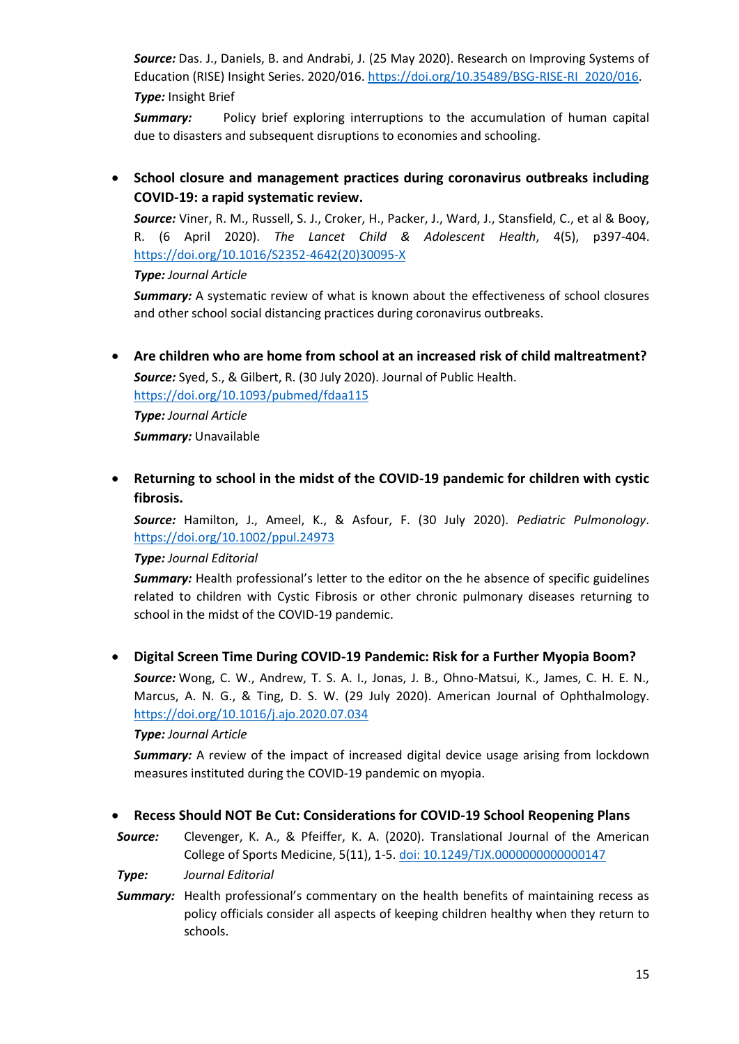*Source:* Das. J., Daniels, B. and Andrabi, J. (25 May 2020). Research on Improving Systems of Education (RISE) Insight Series. 2020/016. [https://doi.org/10.35489/BSG-RISE-RI\\_2020/016.](https://doi.org/10.35489/BSG-RISE-RI_2020/016) *Type:* Insight Brief

*Summary:* Policy brief exploring interruptions to the accumulation of human capital due to disasters and subsequent disruptions to economies and schooling.

 **School closure and management practices during coronavirus outbreaks including COVID-19: a rapid systematic review.**

*Source:* Viner, R. M., Russell, S. J., Croker, H., Packer, J., Ward, J., Stansfield, C., et al & Booy, R. (6 April 2020). *The Lancet Child & Adolescent Health*, 4(5), p397-404. [https://doi.org/10.1016/S2352-4642\(20\)30095-X](https://doi.org/10.1016/S2352-4642(20)30095-X)

*Type: Journal Article*

*Summary:* A systematic review of what is known about the effectiveness of school closures and other school social distancing practices during coronavirus outbreaks.

 **Are children who are home from school at an increased risk of child maltreatment?** *Source:* Syed, S., & Gilbert, R. (30 July 2020). Journal of Public Health.

<https://doi.org/10.1093/pubmed/fdaa115>

*Type: Journal Article Summary:* Unavailable

 **Returning to school in the midst of the COVID-19 pandemic for children with cystic fibrosis.**

*Source:* Hamilton, J., Ameel, K., & Asfour, F. (30 July 2020). *Pediatric Pulmonology*. <https://doi.org/10.1002/ppul.24973>

### *Type: Journal Editorial*

**Summary:** Health professional's letter to the editor on the he absence of specific guidelines related to children with Cystic Fibrosis or other chronic pulmonary diseases returning to school in the midst of the COVID‐19 pandemic.

**Digital Screen Time During COVID-19 Pandemic: Risk for a Further Myopia Boom?**

*Source:* Wong, C. W., Andrew, T. S. A. I., Jonas, J. B., Ohno-Matsui, K., James, C. H. E. N., Marcus, A. N. G., & Ting, D. S. W. (29 July 2020). American Journal of Ophthalmology. <https://doi.org/10.1016/j.ajo.2020.07.034>

#### *Type: Journal Article*

*Summary:* A review of the impact of increased digital device usage arising from lockdown measures instituted during the COVID-19 pandemic on myopia.

#### **Recess Should NOT Be Cut: Considerations for COVID-19 School Reopening Plans**

*Source:* Clevenger, K. A., & Pfeiffer, K. A. (2020). Translational Journal of the American College of Sports Medicine, 5(11), 1-5. [doi: 10.1249/TJX.0000000000000147](https://journals.lww.com/acsm-tj/Fulltext/2020/07150/Recess_Should_NOT_Be_Cut__Considerations_for.10.aspx?context=LatestArticles)

*Type: Journal Editorial*

**Summary:** Health professional's commentary on the health benefits of maintaining recess as policy officials consider all aspects of keeping children healthy when they return to schools.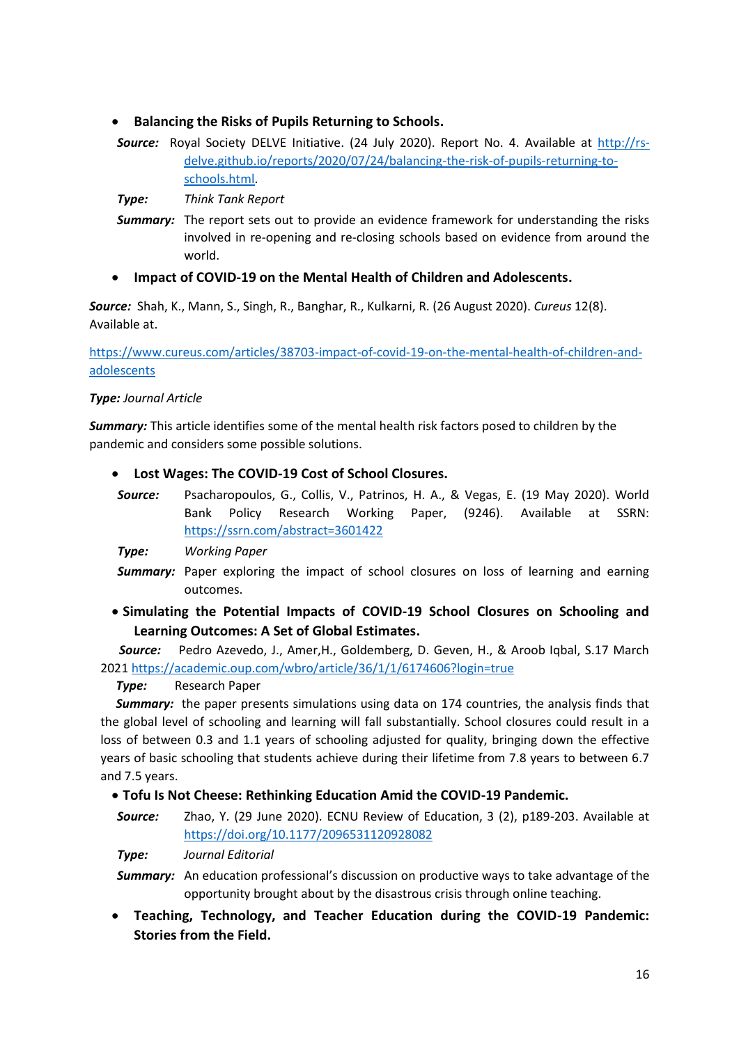- **Balancing the Risks of Pupils Returning to Schools.**
- *Source:* Royal Society DELVE Initiative. (24 July 2020). Report No. 4. Available at [http://rs](http://rs-delve.github.io/reports/2020/07/24/balancing-the-risk-of-pupils-returning-to-schools.html)[delve.github.io/reports/2020/07/24/balancing-the-risk-of-pupils-returning-to](http://rs-delve.github.io/reports/2020/07/24/balancing-the-risk-of-pupils-returning-to-schools.html)[schools.html.](http://rs-delve.github.io/reports/2020/07/24/balancing-the-risk-of-pupils-returning-to-schools.html)

*Type: Think Tank Report*

**Summary:** The report sets out to provide an evidence framework for understanding the risks involved in re-opening and re-closing schools based on evidence from around the world.

### **Impact of COVID-19 on the Mental Health of Children and Adolescents.**

*Source:* Shah, K., Mann, S., Singh, R., Banghar, R., Kulkarni, R. (26 August 2020). *Cureus* 12(8). Available at.

[https://www.cureus.com/articles/38703-impact-of-covid-19-on-the-mental-health-of-children-and](https://www.cureus.com/articles/38703-impact-of-covid-19-on-the-mental-health-of-children-and-adolescents)[adolescents](https://www.cureus.com/articles/38703-impact-of-covid-19-on-the-mental-health-of-children-and-adolescents)

#### *Type: Journal Article*

*Summary:* This article identifies some of the mental health risk factors posed to children by the pandemic and considers some possible solutions.

#### **Lost Wages: The COVID-19 Cost of School Closures.**

*Source:* Psacharopoulos, G., Collis, V., Patrinos, H. A., & Vegas, E. (19 May 2020). World Bank Policy Research Working Paper, (9246). Available at SSRN: <https://ssrn.com/abstract=3601422>

*Type: Working Paper*

- **Summary:** Paper exploring the impact of school closures on loss of learning and earning outcomes.
- **Simulating the Potential Impacts of COVID-19 School Closures on Schooling and Learning Outcomes: A Set of Global Estimates.**

*Source:* Pedro Azevedo, J., Amer,H., Goldemberg, D. Geven, H., & Aroob Iqbal, S.17 March 2021<https://academic.oup.com/wbro/article/36/1/1/6174606?login=true>

#### *Type:* Research Paper

**Summary:** the paper presents simulations using data on 174 countries, the analysis finds that the global level of schooling and learning will fall substantially. School closures could result in a loss of between 0.3 and 1.1 years of schooling adjusted for quality, bringing down the effective years of basic schooling that students achieve during their lifetime from 7.8 years to between 6.7 and 7.5 years.

### **Tofu Is Not Cheese: Rethinking Education Amid the COVID-19 Pandemic.**

*Source:* Zhao, Y. (29 June 2020). ECNU Review of Education, 3 (2), p189-203. Available at <https://doi.org/10.1177/2096531120928082>

*Type: Journal Editorial*

*Summary:* An education professional's discussion on productive ways to take advantage of the opportunity brought about by the disastrous crisis through online teaching.

 **Teaching, Technology, and Teacher Education during the COVID-19 Pandemic: Stories from the Field.**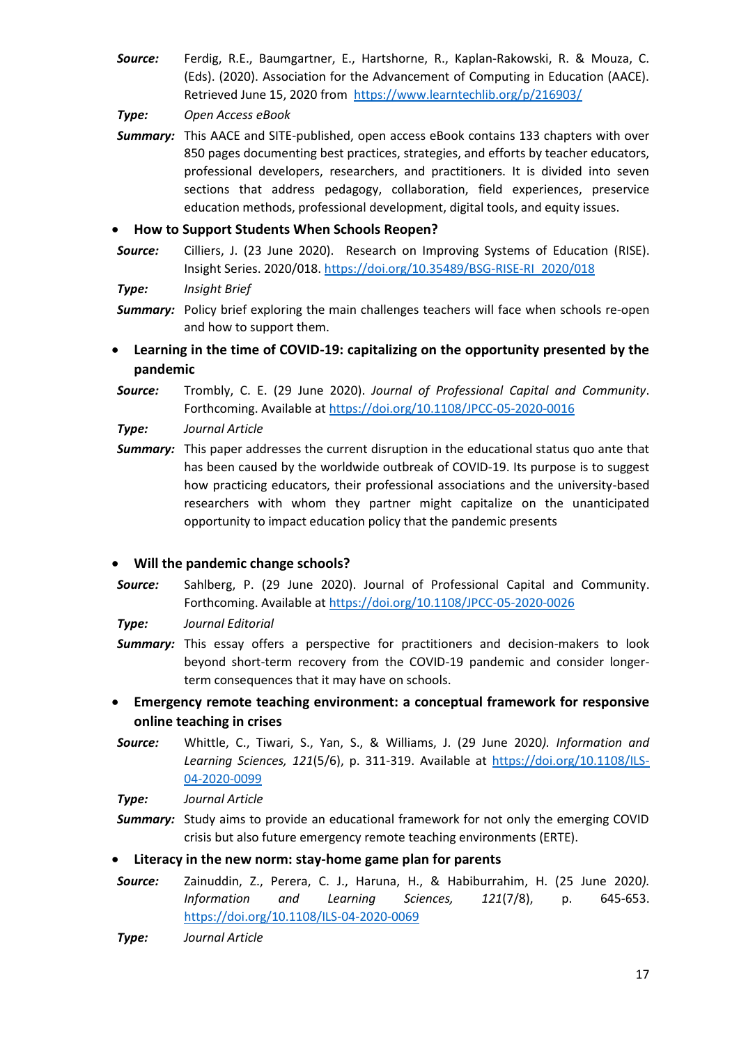*Source:* Ferdig, R.E., Baumgartner, E., Hartshorne, R., Kaplan-Rakowski, R. & Mouza, C. (Eds). (2020). Association for the Advancement of Computing in Education (AACE). Retrieved June 15, 2020 from <https://www.learntechlib.org/p/216903/>

*Type: Open Access eBook*

**Summary:** This AACE and SITE-published, open access eBook contains 133 chapters with over 850 pages documenting best practices, strategies, and efforts by teacher educators, professional developers, researchers, and practitioners. It is divided into seven sections that address pedagogy, collaboration, field experiences, preservice education methods, professional development, digital tools, and equity issues.

#### **How to Support Students When Schools Reopen?**

*Source:* Cilliers, J. (23 June 2020). Research on Improving Systems of Education (RISE). Insight Series. 2020/018. [https://doi.org/10.35489/BSG-RISE-RI\\_2020/018](https://doi.org/10.35489/BSG-RISE-RI_2020/018)

#### *Type: Insight Brief*

- **Summary:** Policy brief exploring the main challenges teachers will face when schools re-open and how to support them.
- **Learning in the time of COVID-19: capitalizing on the opportunity presented by the pandemic**
- *Source:* Trombly, C. E. (29 June 2020). *Journal of Professional Capital and Community*. Forthcoming. Available at<https://doi.org/10.1108/JPCC-05-2020-0016>

*Type: Journal Article*

**Summary:** This paper addresses the current disruption in the educational status quo ante that has been caused by the worldwide outbreak of COVID-19. Its purpose is to suggest how practicing educators, their professional associations and the university-based researchers with whom they partner might capitalize on the unanticipated opportunity to impact education policy that the pandemic presents

#### **Will the pandemic change schools?**

*Source:* Sahlberg, P. (29 June 2020). Journal of Professional Capital and Community. Forthcoming. Available at<https://doi.org/10.1108/JPCC-05-2020-0026>

*Type: Journal Editorial*

- **Summary:** This essay offers a perspective for practitioners and decision-makers to look beyond short-term recovery from the COVID-19 pandemic and consider longerterm consequences that it may have on schools.
- **Emergency remote teaching environment: a conceptual framework for responsive online teaching in crises**
- *Source:* Whittle, C., Tiwari, S., Yan, S., & Williams, J. (29 June 2020*). Information and Learning Sciences, 121*(5/6), p. 311-319. Available at [https://doi.org/10.1108/ILS-](https://doi.org/10.1108/ILS-04-2020-0099)[04-2020-0099](https://doi.org/10.1108/ILS-04-2020-0099)

*Type: Journal Article*

**Summary:** Study aims to provide an educational framework for not only the emerging COVID crisis but also future emergency remote teaching environments (ERTE).

#### **Literacy in the new norm: stay-home game plan for parents**

- *Source:* Zainuddin, Z., Perera, C. J., Haruna, H., & Habiburrahim, H. (25 June 2020*). Information and Learning Sciences, 121*(7/8), p. 645-653. <https://doi.org/10.1108/ILS-04-2020-0069>
- *Type: Journal Article*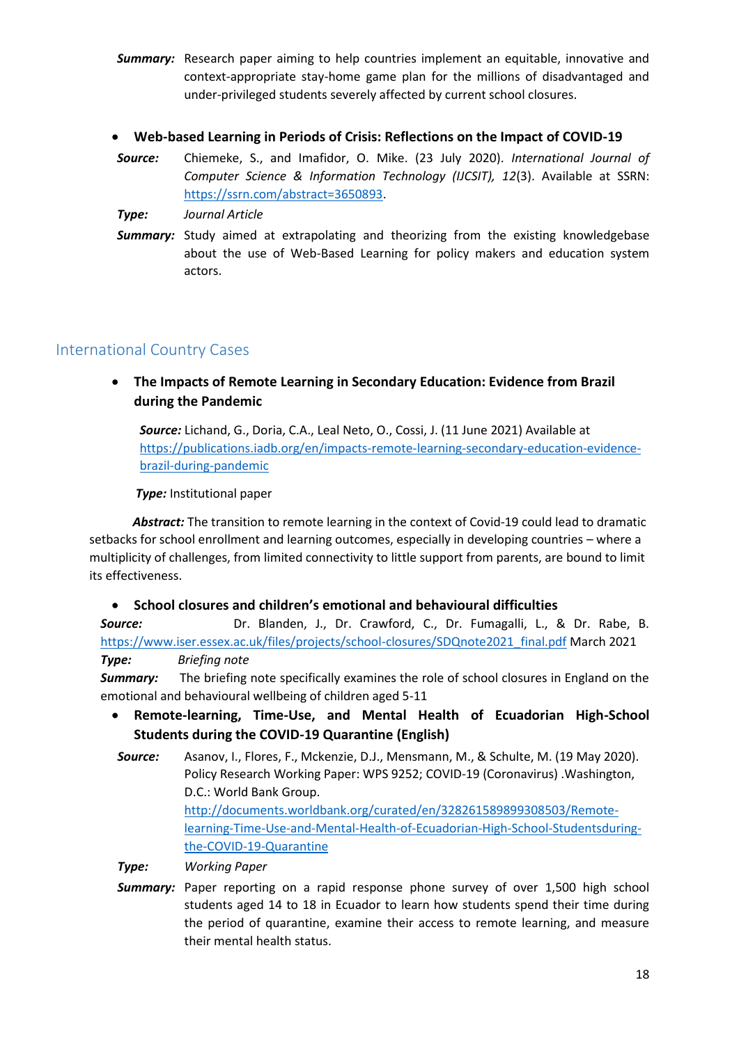- **Summary:** Research paper aiming to help countries implement an equitable, innovative and context-appropriate stay-home game plan for the millions of disadvantaged and under-privileged students severely affected by current school closures.
- **Web-based Learning in Periods of Crisis: Reflections on the Impact of COVID-19**
- *Source:* Chiemeke, S., and Imafidor, O. Mike. (23 July 2020). *International Journal of Computer Science & Information Technology (IJCSIT), 12*(3). Available at SSRN: [https://ssrn.com/abstract=3650893.](https://ssrn.com/abstract=3650893)
- *Type: Journal Article*
- **Summary:** Study aimed at extrapolating and theorizing from the existing knowledgebase about the use of Web-Based Learning for policy makers and education system actors.

## International Country Cases

 **The Impacts of Remote Learning in Secondary Education: Evidence from Brazil during the Pandemic**

*Source:* Lichand, G., Doria, C.A., Leal Neto, O., Cossi, J. (11 June 2021) Available at [https://publications.iadb.org/en/impacts-remote-learning-secondary-education-evidence](https://publications.iadb.org/en/impacts-remote-learning-secondary-education-evidence-brazil-during-pandemic)[brazil-during-pandemic](https://publications.iadb.org/en/impacts-remote-learning-secondary-education-evidence-brazil-during-pandemic)

 *Type:* Institutional paper

Abstract: The transition to remote learning in the context of Covid-19 could lead to dramatic setbacks for school enrollment and learning outcomes, especially in developing countries – where a multiplicity of challenges, from limited connectivity to little support from parents, are bound to limit its effectiveness.

#### **School closures and children's emotional and behavioural difficulties**

*Source:* Dr. Blanden, J., Dr. Crawford, C., Dr. Fumagalli, L., & Dr. Rabe, B. [https://www.iser.essex.ac.uk/files/projects/school-closures/SDQnote2021\\_final.pdf](https://www.iser.essex.ac.uk/files/projects/school-closures/SDQnote2021_final.pdf) March 2021 *Type: Briefing note*

**Summary:** The briefing note specifically examines the role of school closures in England on the emotional and behavioural wellbeing of children aged 5-11

- **Remote-learning, Time-Use, and Mental Health of Ecuadorian High-School Students during the COVID-19 Quarantine (English)**
- *Source:* Asanov, I., Flores, F., Mckenzie, D.J., Mensmann, M., & Schulte, M. (19 May 2020). Policy Research Working Paper: WPS 9252; COVID-19 (Coronavirus) .Washington, D.C.: World Bank Group. [http://documents.worldbank.org/curated/en/328261589899308503/Remote](http://documents.worldbank.org/curated/en/328261589899308503/Remote-learning-Time-Use-and-Mental-Health-of-Ecuadorian-High-School-Studentsduring-the-COVID-19-Quarantine)[learning-Time-Use-and-Mental-Health-of-Ecuadorian-High-School-Studentsduring](http://documents.worldbank.org/curated/en/328261589899308503/Remote-learning-Time-Use-and-Mental-Health-of-Ecuadorian-High-School-Studentsduring-the-COVID-19-Quarantine)[the-COVID-19-Quarantine](http://documents.worldbank.org/curated/en/328261589899308503/Remote-learning-Time-Use-and-Mental-Health-of-Ecuadorian-High-School-Studentsduring-the-COVID-19-Quarantine)

*Type: Working Paper*

*Summary:* Paper reporting on a rapid response phone survey of over 1,500 high school students aged 14 to 18 in Ecuador to learn how students spend their time during the period of quarantine, examine their access to remote learning, and measure their mental health status.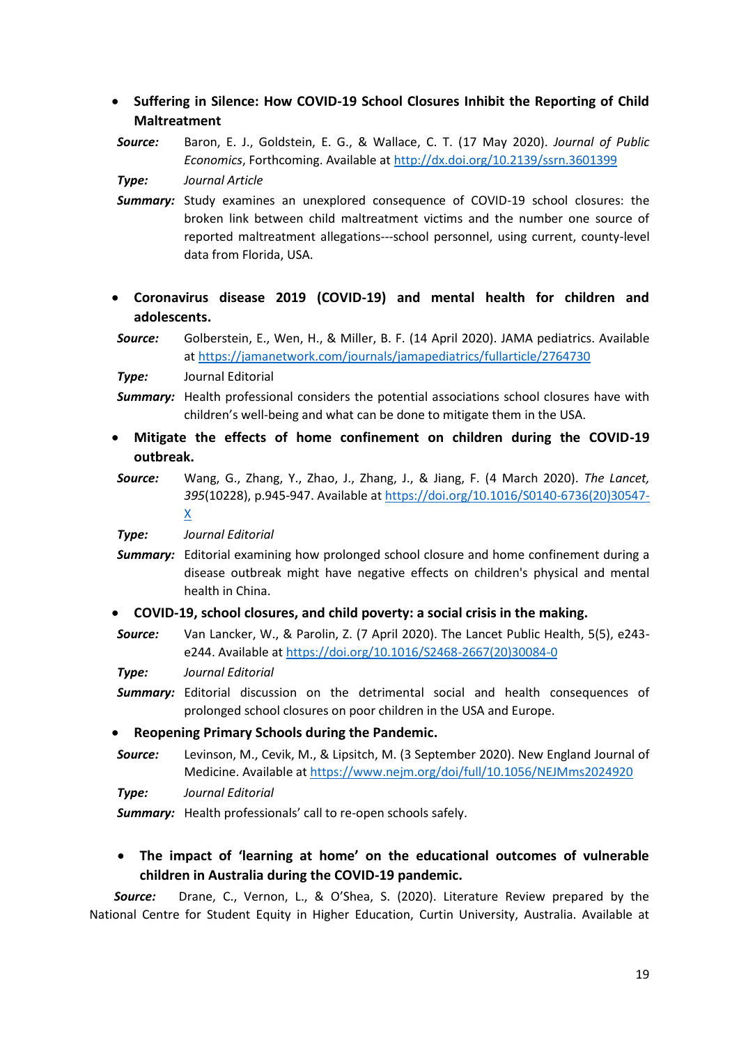- **Suffering in Silence: How COVID-19 School Closures Inhibit the Reporting of Child Maltreatment**
- *Source:* Baron, E. J., Goldstein, E. G., & Wallace, C. T. (17 May 2020). *Journal of Public Economics*, Forthcoming. Available at<http://dx.doi.org/10.2139/ssrn.3601399>

*Type: Journal Article*

- *Summary:* Study examines an unexplored consequence of COVID-19 school closures: the broken link between child maltreatment victims and the number one source of reported maltreatment allegations---school personnel, using current, county-level data from Florida, USA.
- **Coronavirus disease 2019 (COVID-19) and mental health for children and adolescents.**

*Source:* Golberstein, E., Wen, H., & Miller, B. F. (14 April 2020). JAMA pediatrics. Available at https://jamanetwork.com/journals/jamapediatrics/fullarticle/2764730

*Type:* Journal Editorial

- **Summary:** Health professional considers the potential associations school closures have with children's well-being and what can be done to mitigate them in the USA.
- **Mitigate the effects of home confinement on children during the COVID-19 outbreak.**
- *Source:* Wang, G., Zhang, Y., Zhao, J., Zhang, J., & Jiang, F. (4 March 2020). *The Lancet, 395*(10228), p.945-947. Available at [https://doi.org/10.1016/S0140-6736\(20\)30547-](https://doi.org/10.1016/S0140-6736(20)30547-X) [X](https://doi.org/10.1016/S0140-6736(20)30547-X)

*Type: Journal Editorial*

- **Summary:** Editorial examining how prolonged school closure and home confinement during a disease outbreak might have negative effects on children's physical and mental health in China.
- **COVID-19, school closures, and child poverty: a social crisis in the making.**
- *Source:* Van Lancker, W., & Parolin, Z. (7 April 2020). The Lancet Public Health, 5(5), e243 e244. Available at [https://doi.org/10.1016/S2468-2667\(20\)30084-0](https://doi.org/10.1016/S2468-2667(20)30084-0)

*Type: Journal Editorial*

*Summary:* Editorial discussion on the detrimental social and health consequences of prolonged school closures on poor children in the USA and Europe.

**Reopening Primary Schools during the Pandemic.**

*Source:* Levinson, M., Cevik, M., & Lipsitch, M. (3 September 2020). New England Journal of Medicine. Available at<https://www.nejm.org/doi/full/10.1056/NEJMms2024920>

*Type: Journal Editorial*

*Summary:* Health professionals' call to re-open schools safely.

## **The impact of 'learning at home' on the educational outcomes of vulnerable children in Australia during the COVID-19 pandemic.**

 *Source:* Drane, C., Vernon, L., & O'Shea, S. (2020). Literature Review prepared by the National Centre for Student Equity in Higher Education, Curtin University, Australia. Available at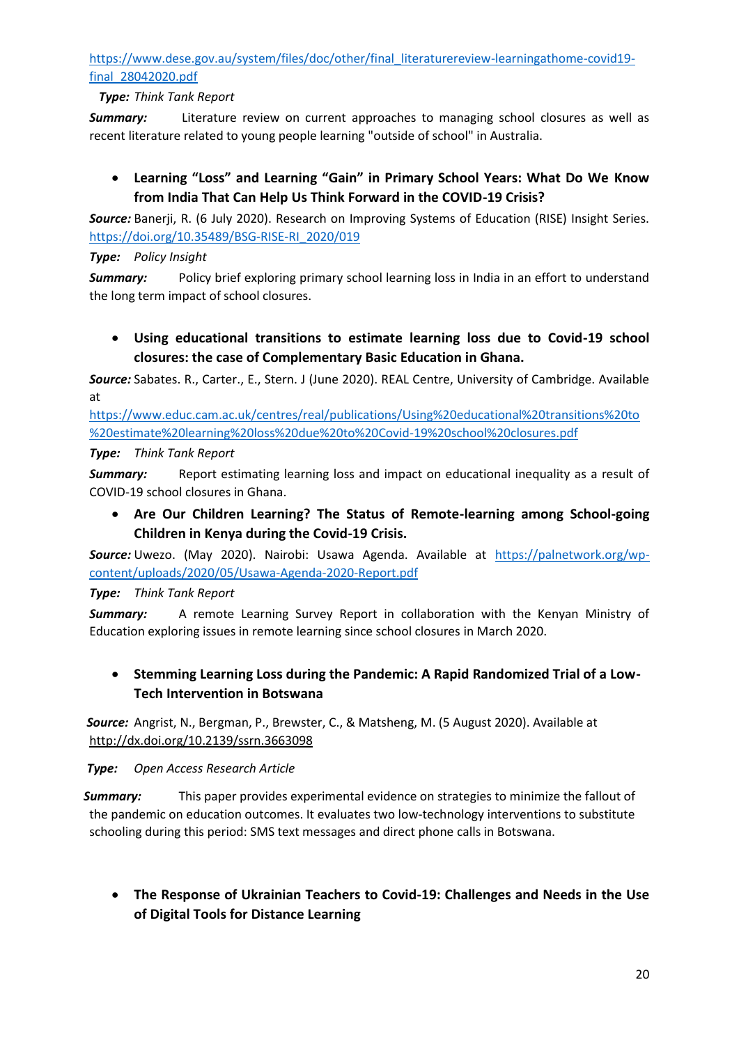[https://www.dese.gov.au/system/files/doc/other/final\\_literaturereview-learningathome-covid19](https://www.dese.gov.au/system/files/doc/other/final_literaturereview-learningathome-covid19-final_28042020.pdf) [final\\_28042020.pdf](https://www.dese.gov.au/system/files/doc/other/final_literaturereview-learningathome-covid19-final_28042020.pdf)

### *Type: Think Tank Report*

**Summary:** Literature review on current approaches to managing school closures as well as recent literature related to young people learning "outside of school" in Australia.

## **Learning "Loss" and Learning "Gain" in Primary School Years: What Do We Know from India That Can Help Us Think Forward in the COVID-19 Crisis?**

*Source:* Banerji, R. (6 July 2020). Research on Improving Systems of Education (RISE) Insight Series. [https://doi.org/10.35489/BSG-RISE-RI\\_2020/019](https://doi.org/10.35489/BSG-RISE-RI_2020/019)

#### *Type: Policy Insight*

*Summary:* Policy brief exploring primary school learning loss in India in an effort to understand the long term impact of school closures.

 **Using educational transitions to estimate learning loss due to Covid-19 school closures: the case of Complementary Basic Education in Ghana.**

*Source:* Sabates. R., Carter., E., Stern. J (June 2020). REAL Centre, University of Cambridge. Available at

[https://www.educ.cam.ac.uk/centres/real/publications/Using%20educational%20transitions%20to](https://www.educ.cam.ac.uk/centres/real/publications/Using%20educational%20transitions%20to%20estimate%20learning%20loss%20due%20to%20Covid-19%20school%20closures.pdf) [%20estimate%20learning%20loss%20due%20to%20Covid-19%20school%20closures.pdf](https://www.educ.cam.ac.uk/centres/real/publications/Using%20educational%20transitions%20to%20estimate%20learning%20loss%20due%20to%20Covid-19%20school%20closures.pdf)

#### *Type: Think Tank Report*

**Summary:** Report estimating learning loss and impact on educational inequality as a result of COVID-19 school closures in Ghana.

 **Are Our Children Learning? The Status of Remote-learning among School-going Children in Kenya during the Covid-19 Crisis.**

*Source:* Uwezo. (May 2020). Nairobi: Usawa Agenda. Available at [https://palnetwork.org/wp](https://palnetwork.org/wp-content/uploads/2020/05/Usawa-Agenda-2020-Report.pdf)[content/uploads/2020/05/Usawa-Agenda-2020-Report.pdf](https://palnetwork.org/wp-content/uploads/2020/05/Usawa-Agenda-2020-Report.pdf)

### *Type: Think Tank Report*

**Summary:** A remote Learning Survey Report in collaboration with the Kenyan Ministry of Education exploring issues in remote learning since school closures in March 2020.

## **Stemming Learning Loss during the Pandemic: A Rapid Randomized Trial of a Low-Tech Intervention in Botswana**

 *Source:* Angrist, N., Bergman, P., Brewster, C., & Matsheng, M. (5 August 2020). Available at <http://dx.doi.org/10.2139/ssrn.3663098>

#### *Type: Open Access Research Article*

 *Summary:* This paper provides experimental evidence on strategies to minimize the fallout of the pandemic on education outcomes. It evaluates two low-technology interventions to substitute schooling during this period: SMS text messages and direct phone calls in Botswana.

 **The Response of Ukrainian Teachers to Сovid-19: Challenges and Needs in the Use of Digital Tools for Distance Learning**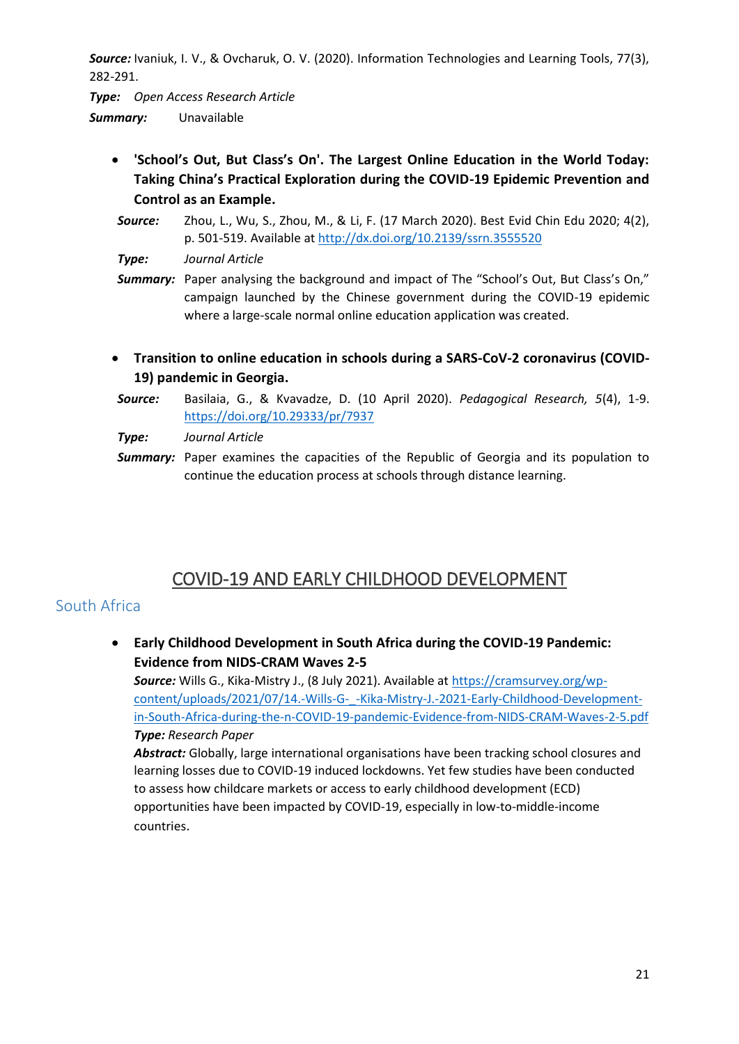*Source:* Ivaniuk, I. V., & Ovcharuk, O. V. (2020). Information Technologies and Learning Tools, 77(3), 282-291.

*Type: Open Access Research Article Summary:* Unavailable

- **'School's Out, But Class's On'. The Largest Online Education in the World Today: Taking China's Practical Exploration during the COVID-19 Epidemic Prevention and Control as an Example.**
- *Source:* Zhou, L., Wu, S., Zhou, M., & Li, F. (17 March 2020). Best Evid Chin Edu 2020; 4(2), p. 501-519. Available at<http://dx.doi.org/10.2139/ssrn.3555520>
- *Type: Journal Article*
- **Summary:** Paper analysing the background and impact of The "School's Out, But Class's On." campaign launched by the Chinese government during the COVID-19 epidemic where a large-scale normal online education application was created.
- **Transition to online education in schools during a SARS-CoV-2 coronavirus (COVID-19) pandemic in Georgia.**
- *Source:* Basilaia, G., & Kvavadze, D. (10 April 2020). *Pedagogical Research, 5*(4), 1-9. <https://doi.org/10.29333/pr/7937>
- *Type: Journal Article*
- **Summary:** Paper examines the capacities of the Republic of Georgia and its population to continue the education process at schools through distance learning.

# COVID-19 AND EARLY CHILDHOOD DEVELOPMENT

## South Africa

 **Early Childhood Development in South Africa during the COVID-19 Pandemic: Evidence from NIDS-CRAM Waves 2-5** 

*Source:* Wills G., Kika-Mistry J., (8 July 2021). Available at [https://cramsurvey.org/wp](https://cramsurvey.org/wp-content/uploads/2021/07/14.-Wills-G-_-Kika-Mistry-J.-2021-Early-Childhood-Development-in-South-Africa-during-the-n-COVID-19-pandemic-Evidence-from-NIDS-CRAM-Waves-2-5.pdf)[content/uploads/2021/07/14.-Wills-G-\\_-Kika-Mistry-J.-2021-Early-Childhood-Development](https://cramsurvey.org/wp-content/uploads/2021/07/14.-Wills-G-_-Kika-Mistry-J.-2021-Early-Childhood-Development-in-South-Africa-during-the-n-COVID-19-pandemic-Evidence-from-NIDS-CRAM-Waves-2-5.pdf)[in-South-Africa-during-the-n-COVID-19-pandemic-Evidence-from-NIDS-CRAM-Waves-2-5.pdf](https://cramsurvey.org/wp-content/uploads/2021/07/14.-Wills-G-_-Kika-Mistry-J.-2021-Early-Childhood-Development-in-South-Africa-during-the-n-COVID-19-pandemic-Evidence-from-NIDS-CRAM-Waves-2-5.pdf) *Type: Research Paper*

*Abstract:* Globally, large international organisations have been tracking school closures and learning losses due to COVID-19 induced lockdowns. Yet few studies have been conducted to assess how childcare markets or access to early childhood development (ECD) opportunities have been impacted by COVID-19, especially in low-to-middle-income countries.